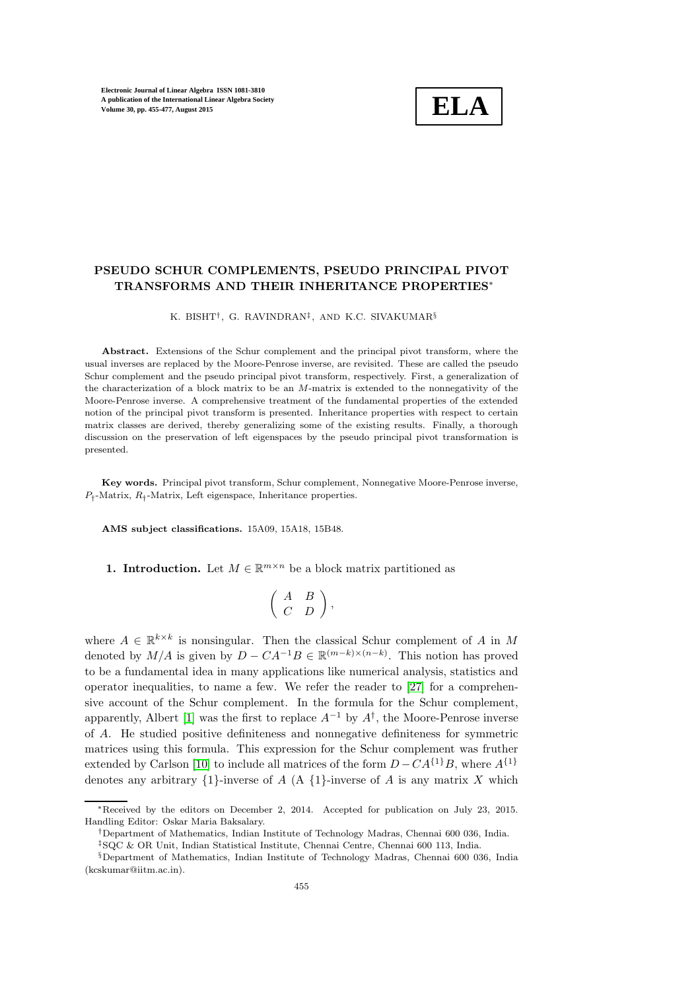

# PSEUDO SCHUR COMPLEMENTS, PSEUDO PRINCIPAL PIVOT TRANSFORMS AND THEIR INHERITANCE PROPERTIES<sup>∗</sup>

K. BISHT† , G. RAVINDRAN‡ , AND K.C. SIVAKUMAR§

Abstract. Extensions of the Schur complement and the principal pivot transform, where the usual inverses are replaced by the Moore-Penrose inverse, are revisited. These are called the pseudo Schur complement and the pseudo principal pivot transform, respectively. First, a generalization of the characterization of a block matrix to be an M-matrix is extended to the nonnegativity of the Moore-Penrose inverse. A comprehensive treatment of the fundamental properties of the extended notion of the principal pivot transform is presented. Inheritance properties with respect to certain matrix classes are derived, thereby generalizing some of the existing results. Finally, a thorough discussion on the preservation of left eigenspaces by the pseudo principal pivot transformation is presented.

Key words. Principal pivot transform, Schur complement, Nonnegative Moore-Penrose inverse,  $P_{\dagger}$ -Matrix,  $R_{\dagger}$ -Matrix, Left eigenspace, Inheritance properties.

AMS subject classifications. 15A09, 15A18, 15B48.

**1. Introduction.** Let  $M \in \mathbb{R}^{m \times n}$  be a block matrix partitioned as

$$
\left(\begin{array}{cc}A&B\\C&D\end{array}\right),
$$

where  $A \in \mathbb{R}^{k \times k}$  is nonsingular. Then the classical Schur complement of A in M denoted by  $M/A$  is given by  $D - CA^{-1}B \in \mathbb{R}^{(m-k)\times (n-k)}$ . This notion has proved to be a fundamental idea in many applications like numerical analysis, statistics and operator inequalities, to name a few. We refer the reader to [\[27\]](#page-22-0) for a comprehensive account of the Schur complement. In the formula for the Schur complement, apparently, Albert [\[1\]](#page-21-0) was the first to replace  $A^{-1}$  by  $A^{\dagger}$ , the Moore-Penrose inverse of A. He studied positive definiteness and nonnegative definiteness for symmetric matrices using this formula. This expression for the Schur complement was fruther extended by Carlson [\[10\]](#page-21-1) to include all matrices of the form  $D - CA^{\{1\}}B$ , where  $A^{\{1\}}$ denotes any arbitrary  $\{1\}$ -inverse of A  $(A \{1\})$ -inverse of A is any matrix X which

<sup>∗</sup>Received by the editors on December 2, 2014. Accepted for publication on July 23, 2015. Handling Editor: Oskar Maria Baksalary.

<sup>†</sup>Department of Mathematics, Indian Institute of Technology Madras, Chennai 600 036, India.

<sup>‡</sup>SQC & OR Unit, Indian Statistical Institute, Chennai Centre, Chennai 600 113, India.

<sup>§</sup>Department of Mathematics, Indian Institute of Technology Madras, Chennai 600 036, India (kcskumar@iitm.ac.in).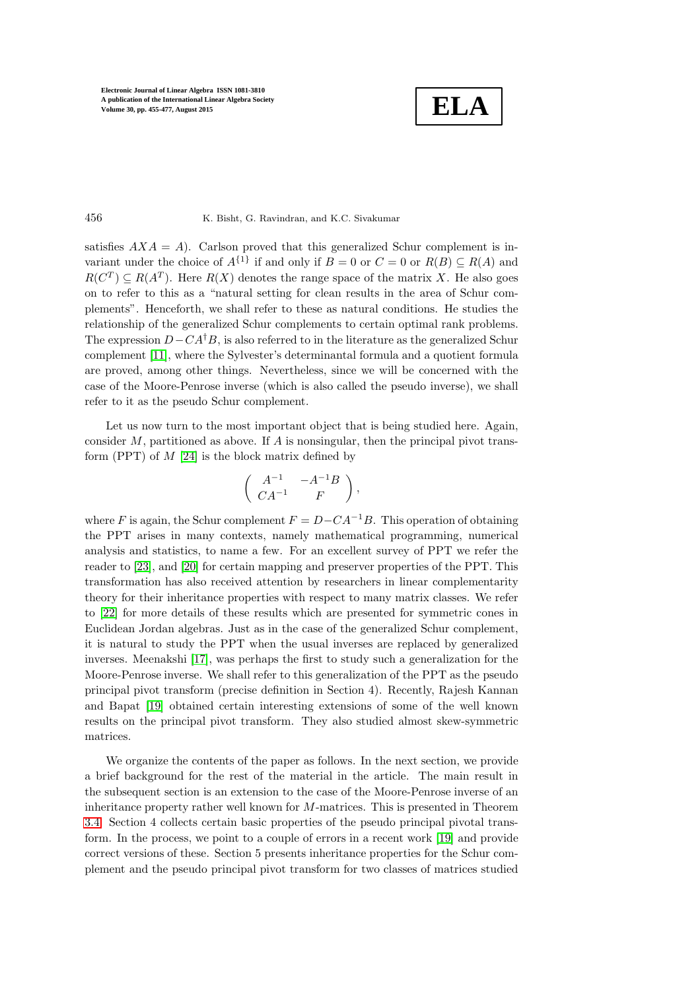$$
\boxed{\textbf{ELA}}
$$

### 456 K. Bisht, G. Ravindran, and K.C. Sivakumar

satisfies  $AXA = A$ ). Carlson proved that this generalized Schur complement is invariant under the choice of  $A^{\{1\}}$  if and only if  $B = 0$  or  $C = 0$  or  $R(B) \subseteq R(A)$  and  $R(C^T) \subseteq R(A^T)$ . Here  $R(X)$  denotes the range space of the matrix X. He also goes on to refer to this as a "natural setting for clean results in the area of Schur complements". Henceforth, we shall refer to these as natural conditions. He studies the relationship of the generalized Schur complements to certain optimal rank problems. The expression  $D-CA^{\dagger}B$ , is also referred to in the literature as the generalized Schur complement [\[11\]](#page-21-2), where the Sylvester's determinantal formula and a quotient formula are proved, among other things. Nevertheless, since we will be concerned with the case of the Moore-Penrose inverse (which is also called the pseudo inverse), we shall refer to it as the pseudo Schur complement.

Let us now turn to the most important object that is being studied here. Again, consider  $M$ , partitioned as above. If  $A$  is nonsingular, then the principal pivot transform (PPT) of  $M$  [\[24\]](#page-21-3) is the block matrix defined by

$$
\left(\begin{array}{cc}A^{-1} & -A^{-1}B \\ CA^{-1} & F\end{array}\right),
$$

where F is again, the Schur complement  $F = D - CA^{-1}B$ . This operation of obtaining the PPT arises in many contexts, namely mathematical programming, numerical analysis and statistics, to name a few. For an excellent survey of PPT we refer the reader to [\[23\]](#page-21-4), and [\[20\]](#page-21-5) for certain mapping and preserver properties of the PPT. This transformation has also received attention by researchers in linear complementarity theory for their inheritance properties with respect to many matrix classes. We refer to [\[22\]](#page-21-6) for more details of these results which are presented for symmetric cones in Euclidean Jordan algebras. Just as in the case of the generalized Schur complement, it is natural to study the PPT when the usual inverses are replaced by generalized inverses. Meenakshi [\[17\]](#page-21-7), was perhaps the first to study such a generalization for the Moore-Penrose inverse. We shall refer to this generalization of the PPT as the pseudo principal pivot transform (precise definition in Section 4). Recently, Rajesh Kannan and Bapat [\[19\]](#page-21-8) obtained certain interesting extensions of some of the well known results on the principal pivot transform. They also studied almost skew-symmetric matrices.

We organize the contents of the paper as follows. In the next section, we provide a brief background for the rest of the material in the article. The main result in the subsequent section is an extension to the case of the Moore-Penrose inverse of an inheritance property rather well known for M-matrices. This is presented in Theorem [3.4.](#page-5-0) Section 4 collects certain basic properties of the pseudo principal pivotal transform. In the process, we point to a couple of errors in a recent work [\[19\]](#page-21-8) and provide correct versions of these. Section 5 presents inheritance properties for the Schur complement and the pseudo principal pivot transform for two classes of matrices studied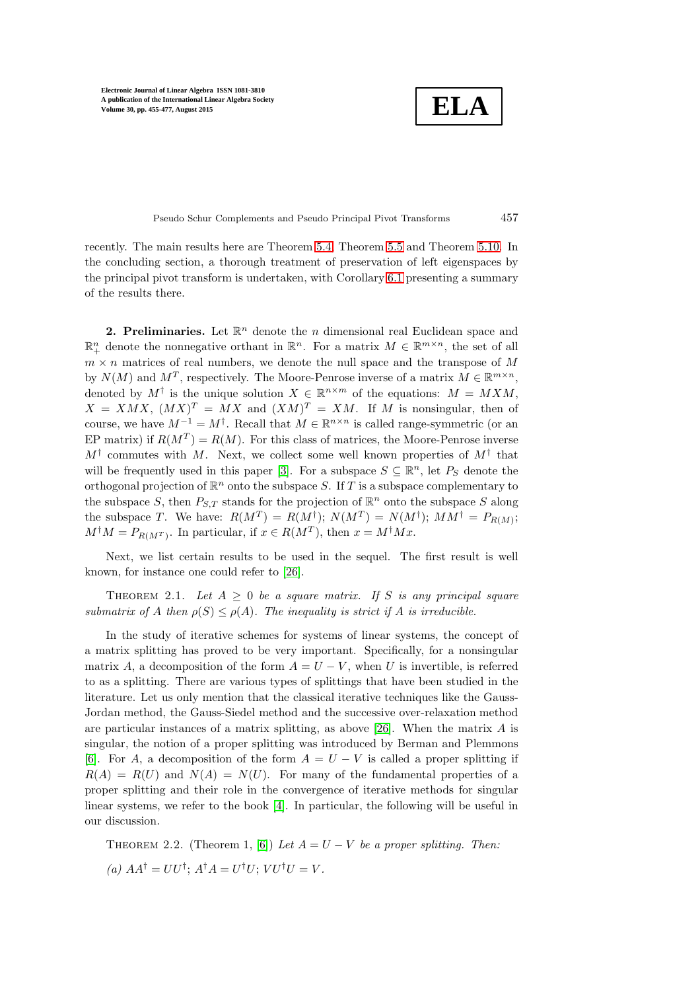**ELA**

Pseudo Schur Complements and Pseudo Principal Pivot Transforms 457

recently. The main results here are Theorem [5.4,](#page-13-0) Theorem [5.5](#page-14-0) and Theorem [5.10.](#page-15-0) In the concluding section, a thorough treatment of preservation of left eigenspaces by the principal pivot transform is undertaken, with Corollary [6.1](#page-20-0) presenting a summary of the results there.

2. Preliminaries. Let  $\mathbb{R}^n$  denote the *n* dimensional real Euclidean space and  $\mathbb{R}^n_+$  denote the nonnegative orthant in  $\mathbb{R}^n$ . For a matrix  $M \in \mathbb{R}^{m \times n}$ , the set of all  $m \times n$  matrices of real numbers, we denote the null space and the transpose of M by  $N(M)$  and  $M^T$ , respectively. The Moore-Penrose inverse of a matrix  $M \in \mathbb{R}^{m \times n}$ , denoted by  $M^{\dagger}$  is the unique solution  $X \in \mathbb{R}^{n \times m}$  of the equations:  $M = M X M$ ,  $X = XMX$ ,  $(MX)^{T} = MX$  and  $(XM)^{T} = XM$ . If M is nonsingular, then of course, we have  $M^{-1} = M^{\dagger}$ . Recall that  $M \in \mathbb{R}^{n \times n}$  is called range-symmetric (or an EP matrix) if  $R(M^T) = R(M)$ . For this class of matrices, the Moore-Penrose inverse  $M^{\dagger}$  commutes with M. Next, we collect some well known properties of  $M^{\dagger}$  that will be frequently used in this paper [\[3\]](#page-21-9). For a subspace  $S \subseteq \mathbb{R}^n$ , let  $P_S$  denote the orthogonal projection of  $\mathbb{R}^n$  onto the subspace S. If T is a subspace complementary to the subspace S, then  $P_{S,T}$  stands for the projection of  $\mathbb{R}^n$  onto the subspace S along the subspace T. We have:  $R(M^T) = R(M^{\dagger}); N(M^T) = N(M^{\dagger}); MM^{\dagger} = P_{R(M)};$  $M^{\dagger}M = P_{R(M^T)}$ . In particular, if  $x \in R(M^T)$ , then  $x = M^{\dagger}Mx$ .

<span id="page-2-0"></span>Next, we list certain results to be used in the sequel. The first result is well known, for instance one could refer to [\[26\]](#page-22-1).

THEOREM 2.1. Let  $A \geq 0$  be a square matrix. If S is any principal square submatrix of A then  $\rho(S) \leq \rho(A)$ . The inequality is strict if A is irreducible.

In the study of iterative schemes for systems of linear systems, the concept of a matrix splitting has proved to be very important. Specifically, for a nonsingular matrix A, a decomposition of the form  $A = U - V$ , when U is invertible, is referred to as a splitting. There are various types of splittings that have been studied in the literature. Let us only mention that the classical iterative techniques like the Gauss-Jordan method, the Gauss-Siedel method and the successive over-relaxation method are particular instances of a matrix splitting, as above [\[26\]](#page-22-1). When the matrix  $A$  is singular, the notion of a proper splitting was introduced by Berman and Plemmons [\[6\]](#page-21-10). For A, a decomposition of the form  $A = U - V$  is called a proper splitting if  $R(A) = R(U)$  and  $N(A) = N(U)$ . For many of the fundamental properties of a proper splitting and their role in the convergence of iterative methods for singular linear systems, we refer to the book [\[4\]](#page-21-11). In particular, the following will be useful in our discussion.

THEOREM 2.2. (Theorem 1, [\[6\]](#page-21-10)) Let  $A = U - V$  be a proper splitting. Then: (a)  $AA^{\dagger} = UU^{\dagger}$ ;  $A^{\dagger}A = U^{\dagger}U$ ;  $VU^{\dagger}U = V$ .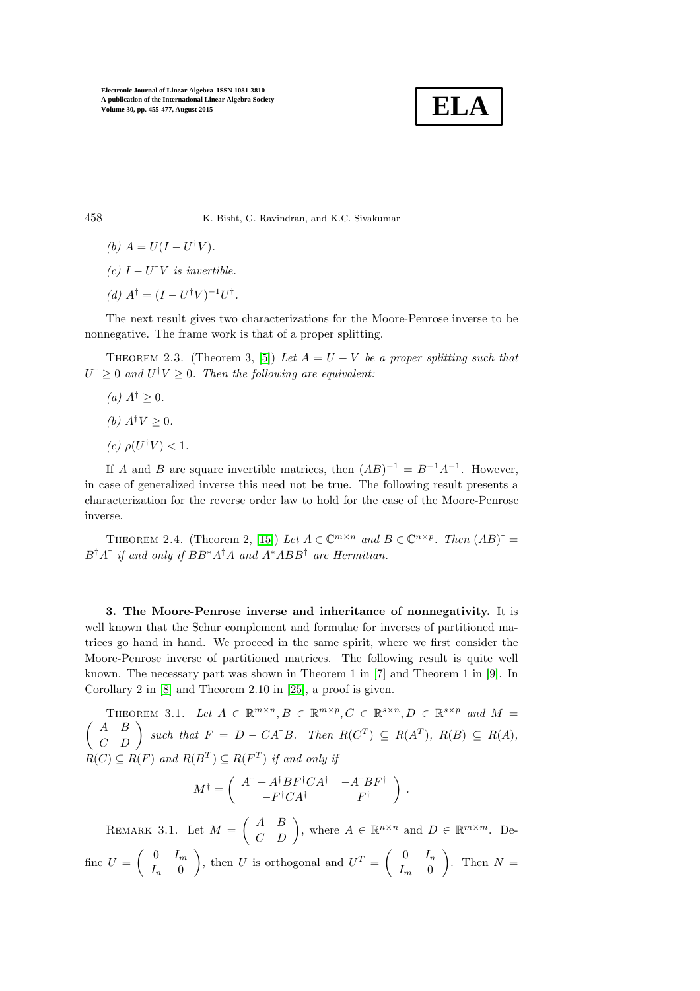

458 K. Bisht, G. Ravindran, and K.C. Sivakumar

(b) 
$$
A = U(I - U^{\dagger}V).
$$

(c)  $I-U^{\dagger}V$  is invertible.

(d)  $A^{\dagger} = (I - U^{\dagger}V)^{-1}U^{\dagger}$ .

<span id="page-3-1"></span>The next result gives two characterizations for the Moore-Penrose inverse to be nonnegative. The frame work is that of a proper splitting.

THEOREM 2.3. (Theorem 3, [\[5\]](#page-21-12)) Let  $A = U - V$  be a proper splitting such that  $U^{\dagger} \geq 0$  and  $U^{\dagger}V \geq 0$ . Then the following are equivalent:

- (a)  $A^{\dagger} \geq 0$ .
- (b)  $A^{\dagger}V > 0$ .
- (c)  $\rho(U^{\dagger}V) < 1$ .

If A and B are square invertible matrices, then  $(AB)^{-1} = B^{-1}A^{-1}$ . However, in case of generalized inverse this need not be true. The following result presents a characterization for the reverse order law to hold for the case of the Moore-Penrose inverse.

<span id="page-3-2"></span>THEOREM 2.4. (Theorem 2, [\[15\]](#page-21-13)) Let  $A \in \mathbb{C}^{m \times n}$  and  $B \in \mathbb{C}^{n \times p}$ . Then  $(AB)^{\dagger} =$  $B^{\dagger}A^{\dagger}$  if and only if  $BB^*A^{\dagger}A$  and  $A^*ABB^{\dagger}$  are Hermitian.

3. The Moore-Penrose inverse and inheritance of nonnegativity. It is well known that the Schur complement and formulae for inverses of partitioned matrices go hand in hand. We proceed in the same spirit, where we first consider the Moore-Penrose inverse of partitioned matrices. The following result is quite well known. The necessary part was shown in Theorem 1 in [\[7\]](#page-21-14) and Theorem 1 in [\[9\]](#page-21-15). In Corollary 2 in [\[8\]](#page-21-16) and Theorem 2.10 in [\[25\]](#page-22-2), a proof is given.

<span id="page-3-0"></span>THEOREM 3.1. Let  $A \in \mathbb{R}^{m \times n}$ ,  $B \in \mathbb{R}^{m \times p}$ ,  $C \in \mathbb{R}^{s \times n}$ ,  $D \in \mathbb{R}^{s \times p}$  and  $M =$  $\begin{pmatrix} A & B \\ C & D \end{pmatrix}$  such that  $F = D - CA^{\dagger}B$ . Then  $R(C^T) \subseteq R(A^T)$ ,  $R(B) \subseteq R(A)$ ,  $R(C) \subseteq R(F)$  and  $R(B^T) \subseteq R(F^T)$  if and only if

$$
M^{\dagger} = \left( \begin{array}{cc} A^{\dagger} + A^{\dagger} B F^{\dagger} C A^{\dagger} & - A^{\dagger} B F^{\dagger} \\ - F^{\dagger} C A^{\dagger} & F^{\dagger} \end{array} \right) \; .
$$

REMARK 3.1. Let  $M = \begin{pmatrix} A & B \\ C & D \end{pmatrix}$ , where  $A \in \mathbb{R}^{n \times n}$  and  $D \in \mathbb{R}^{m \times m}$ . Define  $U = \begin{pmatrix} 0 & I_m \\ I_m & 0 \end{pmatrix}$  $I_n \quad 0$ ), then U is orthogonal and  $U^T = \begin{pmatrix} 0 & I_n \\ I_n & 0 \end{pmatrix}$  $I_m$  0 ). Then  $N =$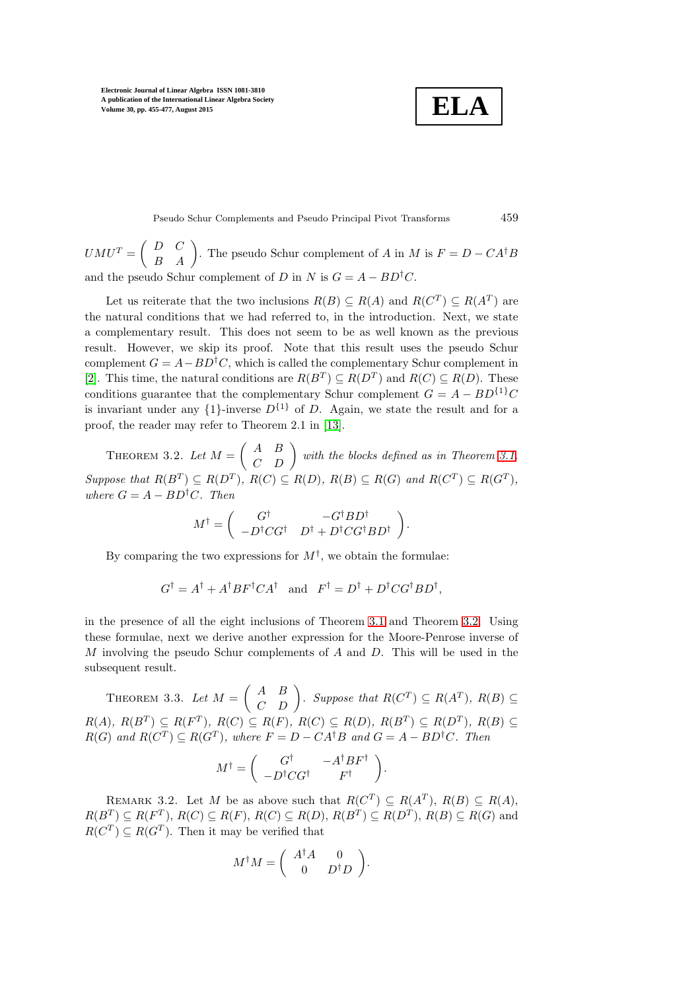$$
\boxed{\textbf{ELA}}
$$

Pseudo Schur Complements and Pseudo Principal Pivot Transforms 459

 $U M U^{T} = \begin{pmatrix} D & C \\ B & A \end{pmatrix}$ . The pseudo Schur complement of A in M is  $F = D - CA^{\dagger}B$ and the pseudo Schur complement of D in N is  $G = A - BD^{\dagger}C$ .

Let us reiterate that the two inclusions  $R(B) \subseteq R(A)$  and  $R(C^T) \subseteq R(A^T)$  are the natural conditions that we had referred to, in the introduction. Next, we state a complementary result. This does not seem to be as well known as the previous result. However, we skip its proof. Note that this result uses the pseudo Schur complement  $G = A - BD^{\dagger}C$ , which is called the complementary Schur complement in [\[2\]](#page-21-17). This time, the natural conditions are  $R(B^T) \subseteq R(D^T)$  and  $R(C) \subseteq R(D)$ . These conditions guarantee that the complementary Schur complement  $G = A - BD<sup>{1}</sup>C$ is invariant under any  $\{1\}$ -inverse  $D^{\{1\}}$  of D. Again, we state the result and for a proof, the reader may refer to Theorem 2.1 in [\[13\]](#page-21-18).

<span id="page-4-0"></span>THEOREM 3.2. Let  $M = \begin{pmatrix} A & B \\ C & D \end{pmatrix}$  with the blocks defined as in Theorem [3.1.](#page-3-0) Suppose that  $R(B^T) \subseteq R(D^T)$ ,  $R(C) \subseteq R(D)$ ,  $R(B) \subseteq R(G)$  and  $R(C^T) \subseteq R(G^T)$ , where  $G = A - BD^{\dagger}C$ . Then

$$
M^\dagger = \left( \begin{array}{cc} G^\dagger & -G^\dagger B D^\dagger \\ -D^\dagger C G^\dagger & D^\dagger + D^\dagger C G^\dagger B D^\dagger \end{array} \right).
$$

By comparing the two expressions for  $M^{\dagger}$ , we obtain the formulae:

$$
G^{\dagger} = A^{\dagger} + A^{\dagger} B F^{\dagger} C A^{\dagger} \text{ and } F^{\dagger} = D^{\dagger} + D^{\dagger} C G^{\dagger} B D^{\dagger},
$$

in the presence of all the eight inclusions of Theorem [3.1](#page-3-0) and Theorem [3.2.](#page-4-0) Using these formulae, next we derive another expression for the Moore-Penrose inverse of M involving the pseudo Schur complements of A and D. This will be used in the subsequent result.

<span id="page-4-1"></span>THEOREM 3.3. Let  $M = \begin{pmatrix} A & B \\ C & D \end{pmatrix}$ . Suppose that  $R(C^T) \subseteq R(A^T)$ ,  $R(B) \subseteq$  $R(A), R(B^T) \subseteq R(F^T), R(C) \subseteq R(F), R(C) \subseteq R(D), R(B^T) \subseteq R(D^T), R(B) \subseteq$  $R(G)$  and  $R(C^T) \subseteq R(G^T)$ , where  $F = D - CA^{\dagger}B$  and  $G = A - BD^{\dagger}C$ . Then

$$
M^{\dagger} = \begin{pmatrix} G^{\dagger} & -A^{\dagger}BF^{\dagger} \\ -D^{\dagger}CG^{\dagger} & F^{\dagger} \end{pmatrix}.
$$

<span id="page-4-2"></span>REMARK 3.2. Let M be as above such that  $R(C^T) \subseteq R(A^T)$ ,  $R(B) \subseteq R(A)$ ,  $R(B^T) \subseteq R(F^T), R(C) \subseteq R(F), R(C) \subseteq R(D), R(B^T) \subseteq R(D^T), R(B) \subseteq R(G)$  and  $R(C^T) \subseteq R(G^T)$ . Then it may be verified that

$$
M^{\dagger}M = \begin{pmatrix} A^{\dagger}A & 0 \\ 0 & D^{\dagger}D \end{pmatrix}.
$$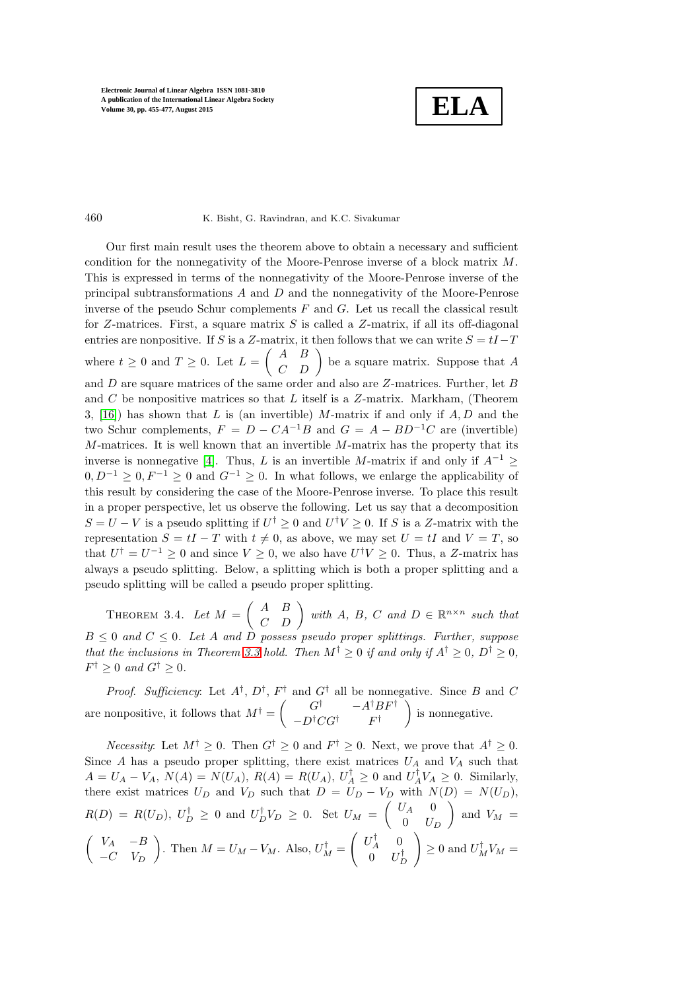**ELA**

### 460 K. Bisht, G. Ravindran, and K.C. Sivakumar

Our first main result uses the theorem above to obtain a necessary and sufficient condition for the nonnegativity of the Moore-Penrose inverse of a block matrix M. This is expressed in terms of the nonnegativity of the Moore-Penrose inverse of the principal subtransformations  $A$  and  $D$  and the nonnegativity of the Moore-Penrose inverse of the pseudo Schur complements  $F$  and  $G$ . Let us recall the classical result for Z-matrices. First, a square matrix  $S$  is called a Z-matrix, if all its off-diagonal entries are nonpositive. If S is a Z-matrix, it then follows that we can write  $S = tI - T$ where  $t \geq 0$  and  $T \geq 0$ . Let  $L = \begin{pmatrix} A & B \\ C & D \end{pmatrix}$  be a square matrix. Suppose that A and D are square matrices of the same order and also are Z-matrices. Further, let B and C be nonpositive matrices so that L itself is a  $Z$ -matrix. Markham, (Theorem 3, [\[16\]](#page-21-19)) has shown that L is (an invertible) M-matrix if and only if  $A, D$  and the two Schur complements,  $F = D - CA^{-1}B$  and  $G = A - BD^{-1}C$  are (invertible)  $M$ -matrices. It is well known that an invertible  $M$ -matrix has the property that its inverse is nonnegative [\[4\]](#page-21-11). Thus, L is an invertible M-matrix if and only if  $A^{-1} \geq$  $0, D^{-1} \geq 0, F^{-1} \geq 0$  and  $G^{-1} \geq 0$ . In what follows, we enlarge the applicability of this result by considering the case of the Moore-Penrose inverse. To place this result in a proper perspective, let us observe the following. Let us say that a decomposition  $S = U - V$  is a pseudo splitting if  $U^{\dagger} \geq 0$  and  $U^{\dagger} V \geq 0$ . If S is a Z-matrix with the representation  $S = tI - T$  with  $t \neq 0$ , as above, we may set  $U = tI$  and  $V = T$ , so that  $U^{\dagger} = U^{-1} \geq 0$  and since  $V \geq 0$ , we also have  $U^{\dagger}V \geq 0$ . Thus, a Z-matrix has always a pseudo splitting. Below, a splitting which is both a proper splitting and a pseudo splitting will be called a pseudo proper splitting.

<span id="page-5-0"></span>THEOREM 3.4. Let  $M = \begin{pmatrix} A & B \\ C & D \end{pmatrix}$  with A, B, C and  $D \in \mathbb{R}^{n \times n}$  such that  $B \leq 0$  and  $C \leq 0$ . Let A and D possess pseudo proper splittings. Further, suppose that the inclusions in Theorem [3.3](#page-4-1) hold. Then  $M^{\dagger} \geq 0$  if and only if  $A^{\dagger} \geq 0$ ,  $D^{\dagger} \geq 0$ ,  $F^{\dagger} \geq 0$  and  $G^{\dagger} \geq 0$ .

*Proof.* Sufficiency: Let  $A^{\dagger}$ ,  $D^{\dagger}$ ,  $F^{\dagger}$  and  $G^{\dagger}$  all be nonnegative. Since B and C are nonpositive, it follows that  $M^{\dagger} = \begin{pmatrix} G^{\dagger} & -A^{\dagger}BF^{\dagger} \\ D^{\dagger}GG^{\dagger} & D^{\dagger} \end{pmatrix}$  $-D$ <sup>†</sup> $CG^{\dagger}$   $F^{\dagger}$ is nonnegative.

*Necessity*: Let  $M^{\dagger} \geq 0$ . Then  $G^{\dagger} \geq 0$  and  $F^{\dagger} \geq 0$ . Next, we prove that  $A^{\dagger} \geq 0$ . Since A has a pseudo proper splitting, there exist matrices  $U_A$  and  $V_A$  such that  $A = U_A - V_A$ ,  $N(A) = N(U_A)$ ,  $R(A) = R(U_A)$ ,  $U_A^{\dagger} \ge 0$  and  $U_A^{\dagger} V_A \ge 0$ . Similarly, there exist matrices  $U_D$  and  $V_D$  such that  $D = U_D - V_D$  with  $N(D) = N(U_D)$ ,  $R(D) = R(U_D), U_D^{\dagger} \geq 0$  and  $U_D^{\dagger} V_D \geq 0$ . Set  $U_M = \begin{pmatrix} U_A & 0 \\ 0 & U_B \end{pmatrix}$  $0$   $U_D$ ) and  $V_M =$  $\left(\begin{array}{cc} V_A & -B \end{array}\right)$  $-C$   $V_D$ ). Then  $M = U_M - V_M$ . Also,  $U_M^{\dagger} =$  $\int U_A^{\dagger} = 0$  $0$   $U_D^{\dagger}$  $\setminus$  $\geq 0$  and  $U_M^{\dagger}V_M =$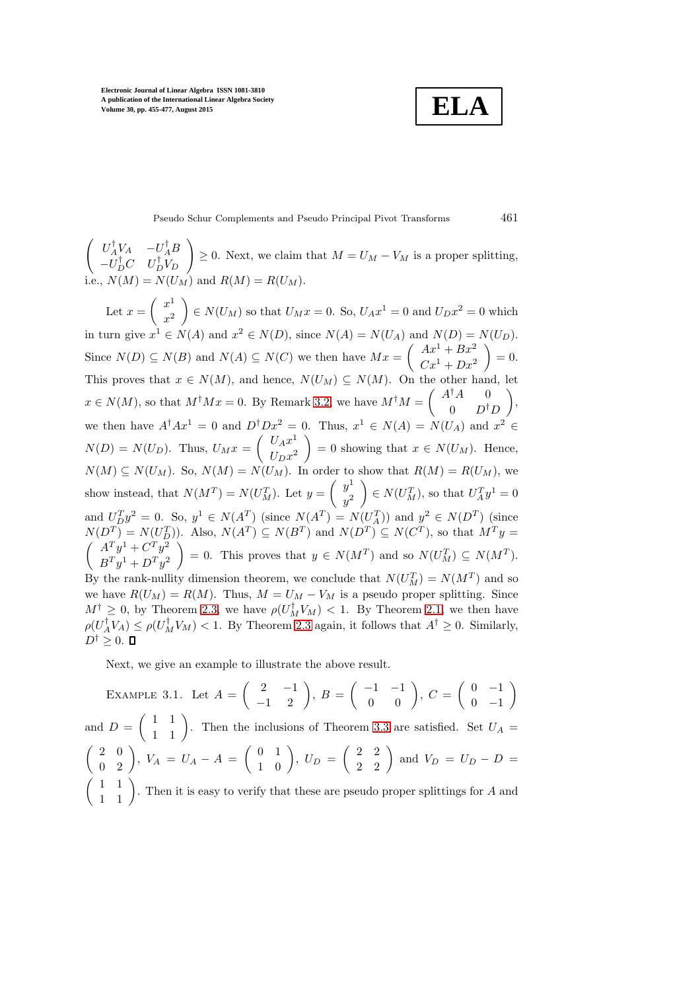**ELA**

Pseudo Schur Complements and Pseudo Principal Pivot Transforms 461

 $\begin{pmatrix} U_A^{\dagger}V_A & -U_A^{\dagger}B \end{pmatrix}$  $-U_D^{\dagger}C$   $U_D^{\dagger}V_D$  $\setminus$  $\geq 0$ . Next, we claim that  $M = U_M - V_M$  is a proper splitting,  $N(U_M)$  and  $R(M) = R(U_M)$ .

Let  $x = \begin{pmatrix} x^1 \\ y^1 \end{pmatrix}$  $\boldsymbol{x}$ 2  $\Big\} \in N(U_M)$  so that  $U_M x = 0$ . So,  $U_A x^1 = 0$  and  $U_D x^2 = 0$  which in turn give  $x^1 \in N(A)$  and  $x^2 \in N(D)$ , since  $N(A) = N(U_A)$  and  $N(D) = N(U_D)$ . Since  $N(D) \subseteq N(B)$  and  $N(A) \subseteq N(C)$  we then have  $Mx = \begin{pmatrix} Ax^1 + Bx^2 \\ Cx^1 + Dx^2 \end{pmatrix}$  $Cx^{1} + Dx^{2}$  $\Big) = 0.$ This proves that  $x \in N(M)$ , and hence,  $N(U_M) \subseteq N(M)$ . On the other hand, let  $x \in N(M)$ , so that  $M^{\dagger}Mx = 0$ . By Remark [3.2,](#page-4-2) we have  $M^{\dagger}M = \begin{pmatrix} A^{\dagger}A & 0 \\ 0 & D^{\dagger}A \end{pmatrix}$  $0$   $D^{\dagger}D$  $\bigg),$ we then have  $A^{\dagger}Ax^1 = 0$  and  $D^{\dagger}Dx^2 = 0$ . Thus,  $x^1 \in N(A) = N(U_A)$  and  $x^2 \in$  $N(D) = N(U_D)$ . Thus,  $U_M x = \begin{pmatrix} U_A x^1 \\ U_B x^2 \end{pmatrix}$  $U_D x^2$ = 0 showing that  $x \in N(U_M)$ . Hence,  $N(M) \subseteq N(U_M)$ . So,  $N(M) = N(U_M)$ . In order to show that  $R(M) = R(U_M)$ , we show instead, that  $N(M^T) = N(U_M^T)$ . Let  $y = \begin{pmatrix} y^1 \\ y^2 \end{pmatrix}$  $y^2$  $\Big) \in N(U_M^T)$ , so that  $U_A^T y^1 = 0$ and  $U_D^T y^2 = 0$ . So,  $y^1 \in N(A^T)$  (since  $N(A^T) = N(U_A^T)$ ) and  $y^2 \in N(D^T)$  (since  $N(D^T) = N(U_D^T)$ ). Also,  $N(A^T) \subseteq N(B^T)$  and  $N(D^T) \subseteq N(C^T)$ , so that  $M^T y =$  $\int A^T y^1 + C^T y^2$  $B<sup>T</sup>y<sup>1</sup> + D<sup>T</sup>y<sup>2</sup>$  $= 0$ . This proves that  $y \in N(M^T)$  and so  $N(U_M^T) \subseteq N(M^T)$ . By the rank-nullity dimension theorem, we conclude that  $N(U_M^T) = N(M^T)$  and so we have  $R(U_M) = R(M)$ . Thus,  $M = U_M - V_M$  is a pseudo proper splitting. Since  $M^{\dagger} \geq 0$ , by Theorem [2.3,](#page-3-1) we have  $\rho(U_M^{\dagger}V_M) < 1$ . By Theorem [2.1,](#page-2-0) we then have  $\rho(U_A^{\dagger} V_A) \leq \rho(U_M^{\dagger} V_M) < 1$ . By Theorem [2.3](#page-3-1) again, it follows that  $A^{\dagger} \geq 0$ . Similarly,  $D^{\dagger} \geq 0.$ 

Next, we give an example to illustrate the above result.

EXAMPLE 3.1. Let  $A = \begin{pmatrix} 2 & -1 \\ -1 & 2 \end{pmatrix}$ ,  $B = \begin{pmatrix} -1 & -1 \\ 0 & 0 \end{pmatrix}$ ,  $C = \begin{pmatrix} 0 & -1 \\ 0 & -1 \end{pmatrix}$  $0 -1$  $\setminus$ and  $D = \begin{pmatrix} 1 & 1 \\ 1 & 1 \end{pmatrix}$ . Then the inclusions of Theorem [3.3](#page-4-1) are satisfied. Set  $U_A =$  $\begin{pmatrix} 2 & 0 \\ 0 & 2 \end{pmatrix}$ ,  $V_A = U_A - A = \begin{pmatrix} 0 & 1 \\ 1 & 0 \end{pmatrix}$ ,  $U_D = \begin{pmatrix} 2 & 2 \\ 2 & 2 \end{pmatrix}$  and  $V_D = U_D - D =$  $\begin{pmatrix} 1 & 1 \\ 1 & 1 \end{pmatrix}$ . Then it is easy to verify that these are pseudo proper splittings for A and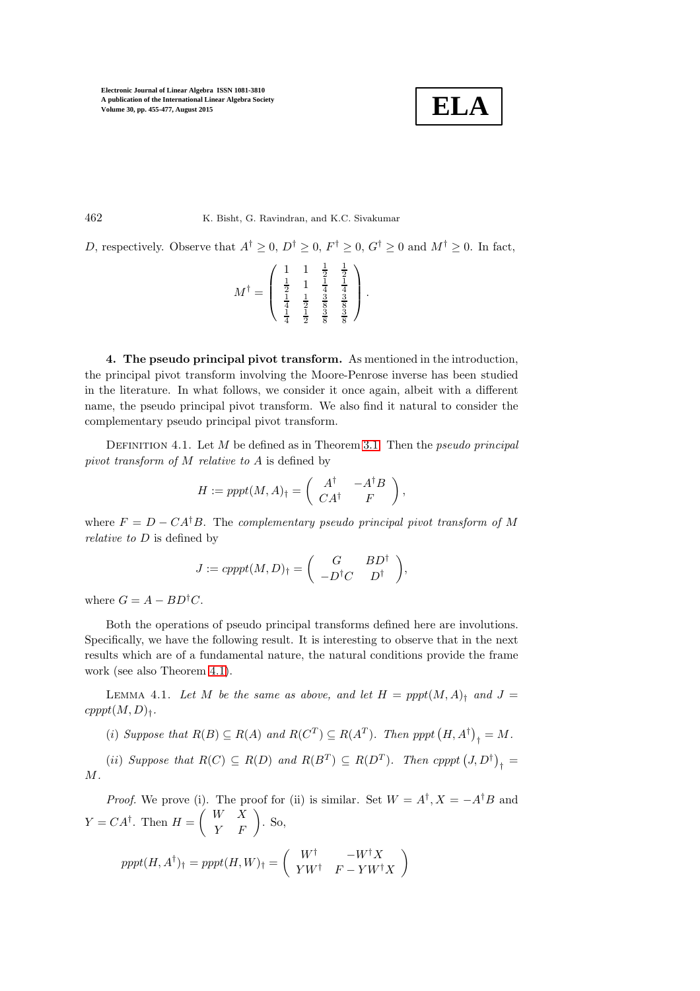$$
\boxed{\textbf{ELA}}
$$

462 K. Bisht, G. Ravindran, and K.C. Sivakumar

D, respectively. Observe that  $A^{\dagger} \geq 0$ ,  $D^{\dagger} \geq 0$ ,  $F^{\dagger} \geq 0$ ,  $G^{\dagger} \geq 0$  and  $M^{\dagger} \geq 0$ . In fact,

$$
M^{\dagger} = \begin{pmatrix} 1 & 1 & \frac{1}{2} & \frac{1}{2} \\ \frac{1}{2} & 1 & \frac{1}{4} & \frac{1}{4} \\ \frac{1}{4} & \frac{1}{2} & \frac{3}{8} & \frac{3}{8} \\ \frac{1}{4} & \frac{1}{2} & \frac{3}{8} & \frac{3}{8} \end{pmatrix}.
$$

4. The pseudo principal pivot transform. As mentioned in the introduction, the principal pivot transform involving the Moore-Penrose inverse has been studied in the literature. In what follows, we consider it once again, albeit with a different name, the pseudo principal pivot transform. We also find it natural to consider the complementary pseudo principal pivot transform.

DEFINITION 4.1. Let  $M$  be defined as in Theorem [3.1.](#page-3-0) Then the *pseudo principal* pivot transform of M relative to A is defined by

$$
H := ppt(M, A)_{\dagger} = \begin{pmatrix} A^{\dagger} & -A^{\dagger}B \\ CA^{\dagger} & F \end{pmatrix},
$$

where  $F = D - CA^{\dagger}B$ . The complementary pseudo principal pivot transform of M relative to D is defined by

$$
J := cpppt(M, D)_{\dagger} = \begin{pmatrix} G & BD^{\dagger} \\ -D^{\dagger}C & D^{\dagger} \end{pmatrix},
$$

where  $G = A - BD^{\dagger}C$ .

Both the operations of pseudo principal transforms defined here are involutions. Specifically, we have the following result. It is interesting to observe that in the next results which are of a fundamental nature, the natural conditions provide the frame work (see also Theorem [4.1\)](#page-10-0).

<span id="page-7-0"></span>LEMMA 4.1. Let M be the same as above, and let  $H = pppt(M, A)$ <sub>t</sub> and  $J =$  $cpppt(M, D)$ <sub>†</sub>.

(i) Suppose that  $R(B) \subseteq R(A)$  and  $R(C^T) \subseteq R(A^T)$ . Then pppt  $(H, A^{\dagger})_{\dagger} = M$ .

(ii) Suppose that  $R(C) \subseteq R(D)$  and  $R(B^T) \subseteq R(D^T)$ . Then cpppt  $(J, D^{\dagger})_{\dagger} =$ M.

*Proof.* We prove (i). The proof for (ii) is similar. Set  $W = A^{\dagger}, X = -A^{\dagger}B$  and  $Y = CA^{\dagger}$ . Then  $H = \begin{pmatrix} W & X \\ Y & F \end{pmatrix}$ . So,  $\setminus$ 

$$
pppt(H, A^{\dagger})_{\dagger} = pppt(H, W)_{\dagger} = \begin{pmatrix} W^{\dagger} & -W^{\dagger}X \\ YW^{\dagger} & F - YW^{\dagger}X \end{pmatrix}
$$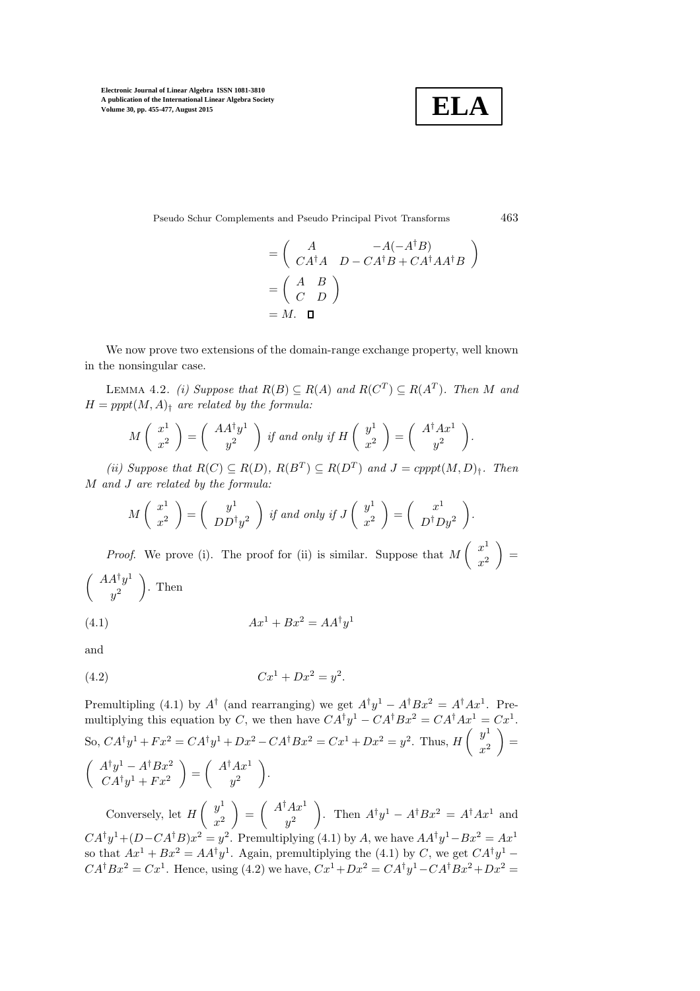

Pseudo Schur Complements and Pseudo Principal Pivot Transforms 463

$$
= \begin{pmatrix} A & -A(-A^{\dagger}B) \\ CA^{\dagger}A & D - CA^{\dagger}B + CA^{\dagger}AA^{\dagger}B \end{pmatrix}
$$

$$
= \begin{pmatrix} A & B \\ C & D \end{pmatrix}
$$

$$
= M. \quad \Box
$$

<span id="page-8-0"></span>We now prove two extensions of the domain-range exchange property, well known in the nonsingular case.

LEMMA 4.2. (i) Suppose that  $R(B) \subseteq R(A)$  and  $R(C^T) \subseteq R(A^T)$ . Then M and  $H = pppt(M, A)$ <sup>t</sup> are related by the formula:

$$
M\left(\begin{array}{c}x^1\\x^2\end{array}\right)=\left(\begin{array}{c}AA^{\dagger}y^1\\y^2\end{array}\right) \text{ if and only if } H\left(\begin{array}{c}y^1\\x^2\end{array}\right)=\left(\begin{array}{c}A^{\dagger}Ax^1\\y^2\end{array}\right).
$$

(ii) Suppose that  $R(C) \subseteq R(D)$ ,  $R(B^T) \subseteq R(D^T)$  and  $J = \text{cpppt}(M, D)$ <sub>t</sub>. Then M and J are related by the formula:

$$
M\left(\begin{array}{c} x^1 \\ x^2 \end{array}\right) = \left(\begin{array}{c} y^1 \\ DD^\dagger y^2 \end{array}\right) \text{ if and only if } J\left(\begin{array}{c} y^1 \\ x^2 \end{array}\right) = \left(\begin{array}{c} x^1 \\ D^\dagger Dy^2 \end{array}\right).
$$

*Proof.* We prove (i). The proof for (ii) is similar. Suppose that  $M\begin{pmatrix} x^1 \\ y^2 \end{pmatrix}$  $x^2$  $=$  $\int A A^{\dagger} y^1$  $y^2$  $\big)$ . Then

$$
(4.1)\qquad \qquad Ax^1 + Bx^2 = AA^{\dagger}y^1
$$

and

(4.2) 
$$
Cx^1 + Dx^2 = y^2.
$$

Premultipling (4.1) by  $A^{\dagger}$  (and rearranging) we get  $A^{\dagger}y^1 - A^{\dagger}Bx^2 = A^{\dagger}Ax^1$ . Premultiplying this equation by C, we then have  $CA^{\dagger}y^{1} - CA^{\dagger}Bx^{2} = CA^{\dagger}Ax^{1} = Cx^{1}$ . So,  $CA^{\dagger}y^{1} + Fx^{2} = CA^{\dagger}y^{1} + Dx^{2} - CA^{\dagger}Bx^{2} = Cx^{1} + Dx^{2} = y^{2}$ . Thus,  $H\begin{pmatrix} y^{1} \\ y^{2} \end{pmatrix}$  $x^2$  $=$  $\int A^{\dagger}y^1 - A^{\dagger}Bx^2$  $CA^{\dagger}y^{1} + Fx^{2}$  $= \left( \begin{array}{c} A^{\dagger}Ax^1 \\ 2 \end{array} \right)$  $y^2$ .

Conversely, let  $H\left(\begin{array}{c}y^1\\y^2\end{array}\right)$  $x^2$  $= \int \frac{A^{\dagger}Ax^1}{a^2}$  $y^2$ ). Then  $A^{\dagger}y^1 - A^{\dagger}Bx^2 = A^{\dagger}Ax^1$  and  $CA^{\dagger}y^{1}+(D-CA^{\dagger}B)x^{2}=y^{2}$ . Premultiplying (4.1) by A, we have  $AA^{\dagger}y^{1}-Bx^{2}=Ax^{1}$ so that  $Ax^1 + Bx^2 = AA^{\dagger}y^1$ . Again, premultiplying the (4.1) by C, we get  $CA^{\dagger}y^1$  –  $CA^{\dagger}Bx^2 = Cx^1$ . Hence, using (4.2) we have,  $Cx^1 + Dx^2 = CA^{\dagger}y^1 - CA^{\dagger}Bx^2 + Dx^2 =$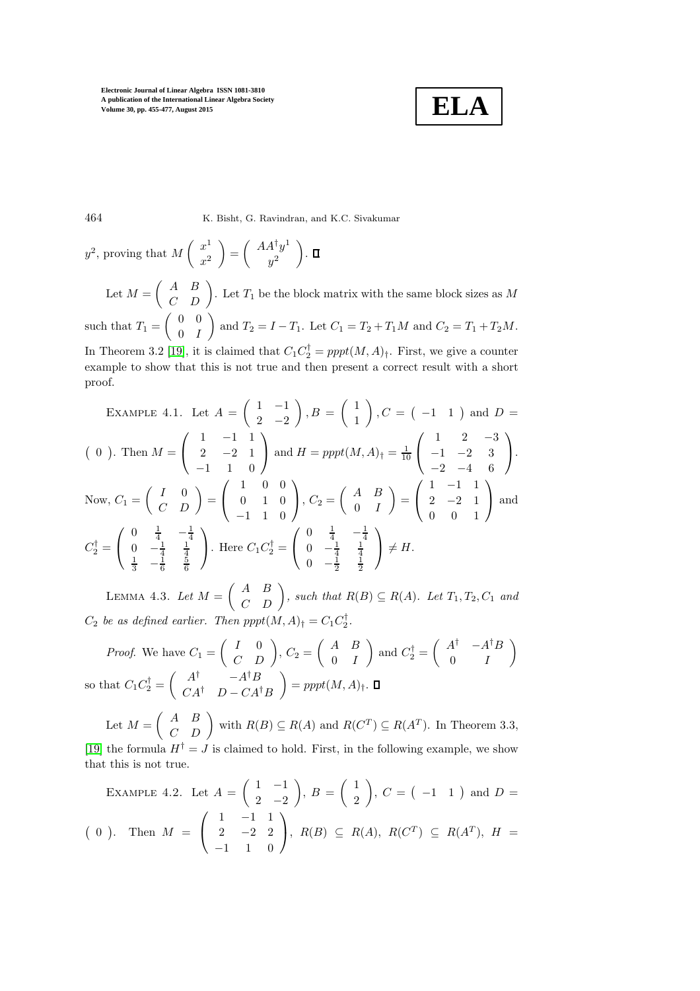

464 K. Bisht, G. Ravindran, and K.C. Sivakumar

$$
y^2
$$
, proving that  $M\begin{pmatrix} x^1 \\ x^2 \end{pmatrix} = \begin{pmatrix} AA^{\dagger}y^1 \\ y^2 \end{pmatrix}$ .  $\Box$ 

Let  $M = \begin{pmatrix} A & B \\ C & D \end{pmatrix}$ . Let  $T_1$  be the block matrix with the same block sizes as M such that  $T_1 = \begin{pmatrix} 0 & 0 \\ 0 & T \end{pmatrix}$  $0 \quad I$ and  $T_2 = I - T_1$ . Let  $C_1 = T_2 + T_1M$  and  $C_2 = T_1 + T_2M$ .

In Theorem 3.2 [\[19\]](#page-21-8), it is claimed that  $C_1 C_2^{\dagger} = pppt(M, A)_{\dagger}$ . First, we give a counter example to show that this is not true and then present a correct result with a short proof.

EXAMPLE 4.1. Let 
$$
A = \begin{pmatrix} 1 & -1 \ 2 & -2 \end{pmatrix}
$$
,  $B = \begin{pmatrix} 1 \ 1 \end{pmatrix}$ ,  $C = \begin{pmatrix} -1 & 1 \end{pmatrix}$  and  $D = \begin{pmatrix} 0 \ 0 \end{pmatrix}$ . Then  $M = \begin{pmatrix} 1 & -1 & 1 \ 2 & -2 & 1 \ -1 & 1 & 0 \end{pmatrix}$  and  $H = pppt(M, A)1 = \frac{1}{10} \begin{pmatrix} 1 & 2 & -3 \ -1 & -2 & 3 \ -2 & -4 & 6 \end{pmatrix}$ .  
\nNow,  $C_1 = \begin{pmatrix} I & 0 \ C & D \end{pmatrix} = \begin{pmatrix} 1 & 0 & 0 \ 0 & 1 & 0 \ -1 & 1 & 0 \end{pmatrix}$ ,  $C_2 = \begin{pmatrix} A & B \ 0 & I \end{pmatrix} = \begin{pmatrix} 1 & -1 & 1 \ 2 & -2 & 1 \ 0 & 0 & 1 \end{pmatrix}$  and  $C_2^{\dagger} = \begin{pmatrix} 0 & \frac{1}{4} & -\frac{1}{4} \\ 0 & -\frac{1}{4} & \frac{1}{4} \\ \frac{1}{3} & -\frac{1}{6} & \frac{5}{6} \end{pmatrix}$ . Here  $C_1 C_2^{\dagger} = \begin{pmatrix} 0 & \frac{1}{4} & -\frac{1}{4} \\ 0 & -\frac{1}{2} & \frac{1}{2} \end{pmatrix} \neq H$ .

<span id="page-9-0"></span>LEMMA 4.3. Let  $M = \begin{pmatrix} A & B \\ C & D \end{pmatrix}$ , such that  $R(B) \subseteq R(A)$ . Let  $T_1, T_2, C_1$  and  $C_2$  be as defined earlier. Then  $pppt(M, A)_{\dagger} = C_1 C_2^{\dagger}$ .

*Proof.* We have 
$$
C_1 = \begin{pmatrix} I & 0 \ C & D \end{pmatrix}
$$
,  $C_2 = \begin{pmatrix} A & B \ 0 & I \end{pmatrix}$  and  $C_2^{\dagger} = \begin{pmatrix} A^{\dagger} & -A^{\dagger}B \ 0 & I \end{pmatrix}$   
so that  $C_1 C_2^{\dagger} = \begin{pmatrix} A^{\dagger} & -A^{\dagger}B \ CA^{\dagger} & D - CA^{\dagger}B \end{pmatrix} = pppt(M, A)_{\dagger}$ .  $\Box$ 

Let  $M = \begin{pmatrix} A & B \\ C & D \end{pmatrix}$  with  $R(B) \subseteq R(A)$  and  $R(C^T) \subseteq R(A^T)$ . In Theorem 3.3, [\[19\]](#page-21-8) the formula  $H^{\dagger} = J$  is claimed to hold. First, in the following example, we show that this is not true.

EXAMPLE 4.2. Let 
$$
A = \begin{pmatrix} 1 & -1 \\ 2 & -2 \end{pmatrix}
$$
,  $B = \begin{pmatrix} 1 \\ 2 \end{pmatrix}$ ,  $C = \begin{pmatrix} -1 & 1 \end{pmatrix}$  and  $D = \begin{pmatrix} 0 \end{pmatrix}$ . Then  $M = \begin{pmatrix} 1 & -1 & 1 \\ 2 & -2 & 2 \\ -1 & 1 & 0 \end{pmatrix}$ ,  $R(B) \subseteq R(A)$ ,  $R(C^T) \subseteq R(A^T)$ ,  $H = \begin{pmatrix} 1 & -1 & 1 \\ -1 & 1 & 0 \end{pmatrix}$ .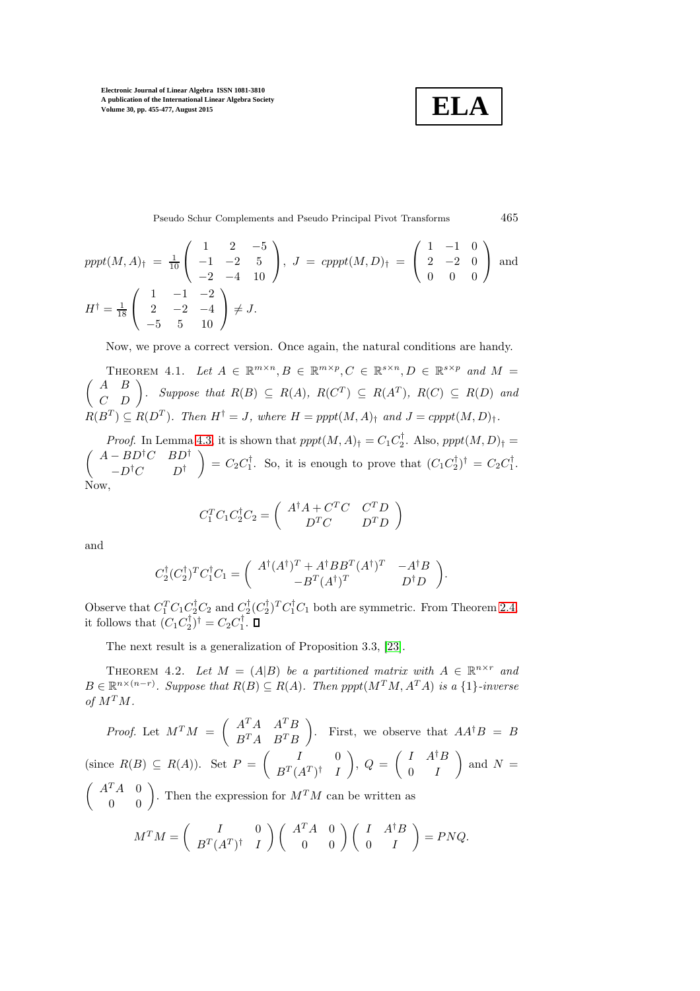$$
\boxed{\textbf{ELA}}
$$

Pseudo Schur Complements and Pseudo Principal Pivot Transforms 465

$$
pppt(M, A)† = \frac{1}{10} \begin{pmatrix} 1 & 2 & -5 \ -1 & -2 & 5 \ -2 & -4 & 10 \end{pmatrix}, J = cpppt(M, D)† = \begin{pmatrix} 1 & -1 & 0 \ 2 & -2 & 0 \ 0 & 0 & 0 \end{pmatrix} \text{ and}
$$
  

$$
H† = \frac{1}{18} \begin{pmatrix} 1 & -1 & -2 \ 2 & -2 & -4 \ -5 & 5 & 10 \end{pmatrix} \neq J.
$$

<span id="page-10-0"></span>Now, we prove a correct version. Once again, the natural conditions are handy.

THEOREM 4.1. Let  $A \in \mathbb{R}^{m \times n}, B \in \mathbb{R}^{m \times p}, C \in \mathbb{R}^{s \times n}, D \in \mathbb{R}^{s \times p}$  and  $M =$  $\begin{pmatrix} A & B \\ C & D \end{pmatrix}$ . Suppose that  $R(B) \subseteq R(A)$ ,  $R(C^T) \subseteq R(A^T)$ ,  $R(C) \subseteq R(D)$  and  $R(B^T) \subseteq R(D^T)$ . Then  $H^{\dagger} = J$ , where  $H = pppt(M, A)_{\dagger}$  and  $J = cpppt(M, D)_{\dagger}$ .

*Proof.* In Lemma [4.3,](#page-9-0) it is shown that  $pppt(M, A)_{\dagger} = C_1 C_2^{\dagger}$ . Also,  $pppt(M, D)_{\dagger} =$  $(A - BD^{\dagger}C - BD^{\dagger})$  $-D^{\dagger}C$   $D^{\dagger}$  $\Big) = C_2 C_1^{\dagger}$ . So, it is enough to prove that  $(C_1 C_2^{\dagger})^{\dagger} = C_2 C_1^{\dagger}$ . Now,

$$
C_1^TC_1C_2^\dagger C_2=\left(\begin{array}{cc}A^\dagger A+C^TC&C^TD\\D^TC&D^TD\end{array}\right)
$$

and

$$
C_2^{\dagger} (C_2^{\dagger})^T C_1^{\dagger} C_1 = \begin{pmatrix} A^{\dagger} (A^{\dagger})^T + A^{\dagger} B B^T (A^{\dagger})^T & -A^{\dagger} B \\ -B^T (A^{\dagger})^T & D^{\dagger} D \end{pmatrix}.
$$

Observe that  $C_1^TC_1C_2^{\dagger}C_2$  and  $C_2^{\dagger}(C_2^{\dagger})^TC_1^{\dagger}C_1$  both are symmetric. From Theorem [2.4,](#page-3-2) it follows that  $(C_1 C_2^{\dagger})^{\dagger} = C_2 C_1^{\dagger}$ .

The next result is a generalization of Proposition 3.3, [\[23\]](#page-21-4).

THEOREM 4.2. Let  $M = (A|B)$  be a partitioned matrix with  $A \in \mathbb{R}^{n \times r}$  and  $B \in \mathbb{R}^{n \times (n-r)}$ . Suppose that  $R(B) \subseteq R(A)$ . Then  $pppt(M^TM, A^TA)$  is a {1}-inverse of  $M^T M$ .

Proof. Let  $M^T M = \begin{pmatrix} A^T A & A^T B \\ B^T A & B^T B \end{pmatrix}$  $B^T A$   $B^T B$ ). First, we observe that  $AA^{\dagger}B = B$ (since  $R(B) \subseteq R(A)$ ). Set  $P = \begin{pmatrix} I & 0 \\ P^T(A^T)^{\dagger} & I \end{pmatrix}$  $B^T(A^T)^\dagger$  I  $\Big), \ Q = \left( \begin{array}{cc} I & A^{\dagger}B \\ 0 & I \end{array} \right)$  $0 \quad I$ ) and  $N =$  $\begin{pmatrix} A^T A & 0 \\ 0 & 0 \end{pmatrix}$ . Then the expression for  $M^T M$  can be written as  $M^T M = \begin{pmatrix} I & 0 \\ P^T (A^T)^{\dagger} & I \end{pmatrix}$  $B^T(A^T)^\dagger$  I  $\Big) \left( \begin{array}{cc} A^TA & 0 \ 0 & 0 \end{array} \right) \left( \begin{array}{cc} I & A^\dagger B \ 0 & I \end{array} \right)$  $= P N Q.$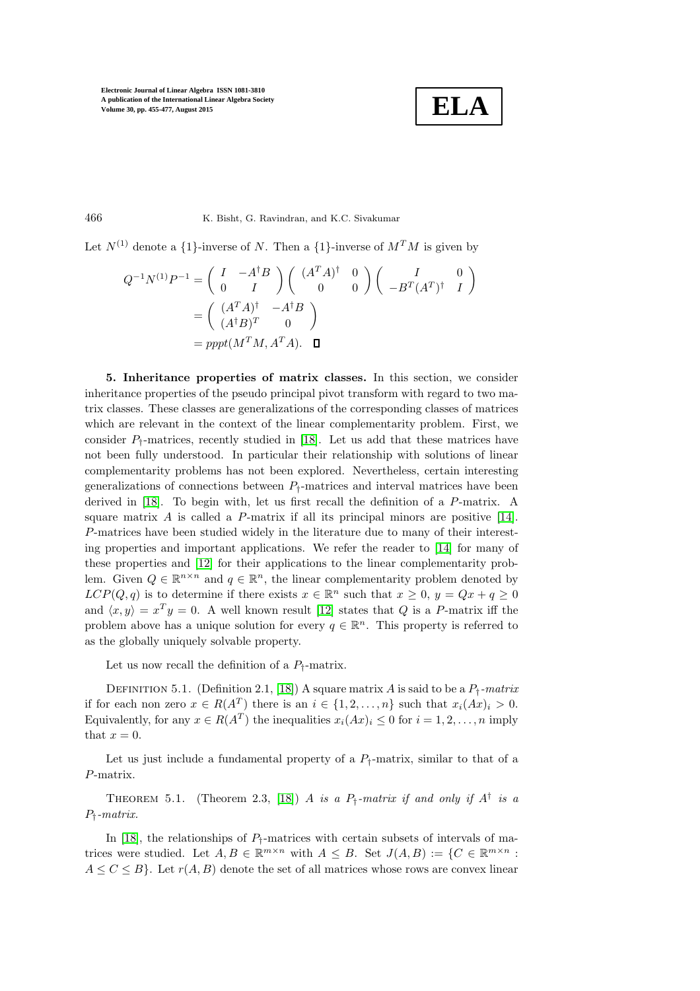$$
\boxed{\textbf{ELA}}
$$

466 K. Bisht, G. Ravindran, and K.C. Sivakumar

Let  $N^{(1)}$  denote a  $\{1\}$ -inverse of N. Then a  $\{1\}$ -inverse of  $M^{T}M$  is given by

$$
Q^{-1}N^{(1)}P^{-1} = \begin{pmatrix} I & -A^{\dagger}B \\ 0 & I \end{pmatrix} \begin{pmatrix} (A^T A)^{\dagger} & 0 \\ 0 & 0 \end{pmatrix} \begin{pmatrix} I & 0 \\ -B^T (A^T)^{\dagger} & I \end{pmatrix}
$$

$$
= \begin{pmatrix} (A^T A)^{\dagger} & -A^{\dagger}B \\ (A^{\dagger} B)^T & 0 \end{pmatrix}
$$

$$
= pppt(M^T M, A^T A). \quad \Box
$$

5. Inheritance properties of matrix classes. In this section, we consider inheritance properties of the pseudo principal pivot transform with regard to two matrix classes. These classes are generalizations of the corresponding classes of matrices which are relevant in the context of the linear complementarity problem. First, we consider  $P_{\dagger}$ -matrices, recently studied in [\[18\]](#page-21-20). Let us add that these matrices have not been fully understood. In particular their relationship with solutions of linear complementarity problems has not been explored. Nevertheless, certain interesting generalizations of connections between  $P_i$ -matrices and interval matrices have been derived in [\[18\]](#page-21-20). To begin with, let us first recall the definition of a P-matrix. A square matrix  $\vec{A}$  is called a  $\vec{P}$ -matrix if all its principal minors are positive [\[14\]](#page-21-21). P-matrices have been studied widely in the literature due to many of their interesting properties and important applications. We refer the reader to [\[14\]](#page-21-21) for many of these properties and [\[12\]](#page-21-22) for their applications to the linear complementarity problem. Given  $Q \in \mathbb{R}^{n \times n}$  and  $q \in \mathbb{R}^n$ , the linear complementarity problem denoted by  $LCP(Q, q)$  is to determine if there exists  $x \in \mathbb{R}^n$  such that  $x \geq 0$ ,  $y = Qx + q \geq 0$ and  $\langle x, y \rangle = x^T y = 0$ . A well known result [\[12\]](#page-21-22) states that Q is a P-matrix iff the problem above has a unique solution for every  $q \in \mathbb{R}^n$ . This property is referred to as the globally uniquely solvable property.

Let us now recall the definition of a  $P_{\dagger}$ -matrix.

DEFINITION 5.1. (Definition 2.1, [\[18\]](#page-21-20)) A square matrix A is said to be a  $P_+$ -matrix if for each non zero  $x \in R(A^T)$  there is an  $i \in \{1, 2, ..., n\}$  such that  $x_i(Ax)_i > 0$ . Equivalently, for any  $x \in R(A^T)$  the inequalities  $x_i(Ax)_i \leq 0$  for  $i = 1, 2, ..., n$  imply that  $x = 0$ .

Let us just include a fundamental property of a  $P_1$ -matrix, similar to that of a P-matrix.

THEOREM 5.1. (Theorem 2.3, [\[18\]](#page-21-20)) A is a  $P_{\dagger}$ -matrix if and only if  $A^{\dagger}$  is a P†-matrix.

In [\[18\]](#page-21-20), the relationships of  $P_1$ -matrices with certain subsets of intervals of matrices were studied. Let  $A, B \in \mathbb{R}^{m \times n}$  with  $A \leq B$ . Set  $J(A, B) := \{C \in \mathbb{R}^{m \times n}$ :  $A \leq C \leq B$ . Let  $r(A, B)$  denote the set of all matrices whose rows are convex linear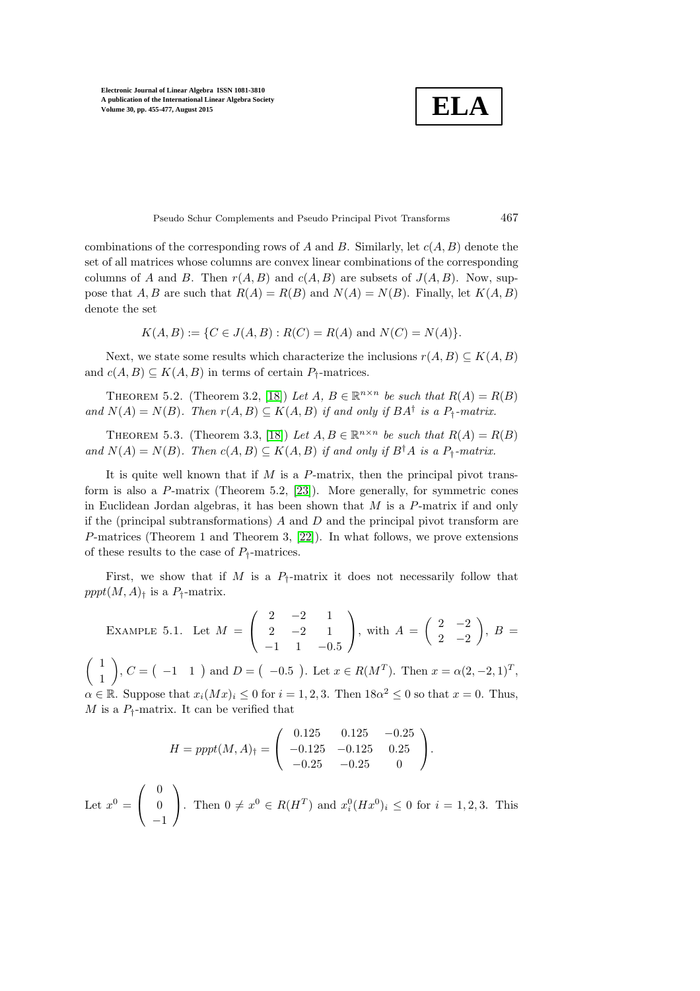$$
\boxed{\textbf{ELA}}
$$

Pseudo Schur Complements and Pseudo Principal Pivot Transforms 467

combinations of the corresponding rows of A and B. Similarly, let  $c(A, B)$  denote the set of all matrices whose columns are convex linear combinations of the corresponding columns of A and B. Then  $r(A, B)$  and  $c(A, B)$  are subsets of  $J(A, B)$ . Now, suppose that A, B are such that  $R(A) = R(B)$  and  $N(A) = N(B)$ . Finally, let  $K(A, B)$ denote the set

$$
K(A, B) := \{ C \in J(A, B) : R(C) = R(A) \text{ and } N(C) = N(A) \}.
$$

Next, we state some results which characterize the inclusions  $r(A, B) \subseteq K(A, B)$ and  $c(A, B) \subseteq K(A, B)$  in terms of certain  $P_{\dagger}$ -matrices.

THEOREM 5.2. (Theorem 3.2, [\[18\]](#page-21-20)) Let A,  $B \in \mathbb{R}^{n \times n}$  be such that  $R(A) = R(B)$ and  $N(A) = N(B)$ . Then  $r(A, B) \subseteq K(A, B)$  if and only if  $BA^{\dagger}$  is a  $P_{\dagger}$ -matrix.

THEOREM 5.3. (Theorem 3.3, [\[18\]](#page-21-20)) Let  $A, B \in \mathbb{R}^{n \times n}$  be such that  $R(A) = R(B)$ and  $N(A) = N(B)$ . Then  $c(A, B) \subseteq K(A, B)$  if and only if  $B^{\dagger}A$  is a  $P_{\dagger}$ -matrix.

It is quite well known that if  $M$  is a  $P$ -matrix, then the principal pivot transform is also a P-matrix (Theorem 5.2, [\[23\]](#page-21-4)). More generally, for symmetric cones in Euclidean Jordan algebras, it has been shown that  $M$  is a  $P$ -matrix if and only if the (principal subtransformations)  $A$  and  $D$  and the principal pivot transform are P-matrices (Theorem 1 and Theorem 3, [\[22\]](#page-21-6)). In what follows, we prove extensions of these results to the case of  $P_{\dagger}$ -matrices.

First, we show that if M is a  $P_t$ -matrix it does not necessarily follow that  $pppt(M, A)$ <sup>†</sup> is a  $P$ <sup>†</sup>-matrix.

EXAMPLE 5.1. Let 
$$
M = \begin{pmatrix} 2 & -2 & 1 \\ 2 & -2 & 1 \\ -1 & 1 & -0.5 \end{pmatrix}
$$
, with  $A = \begin{pmatrix} 2 & -2 \\ 2 & -2 \end{pmatrix}$ ,  $B = \begin{pmatrix} 1 \\ 1 \end{pmatrix}$ ,  $C = \begin{pmatrix} -1 & 1 \end{pmatrix}$  and  $D = \begin{pmatrix} -0.5 \end{pmatrix}$ . Let  $x \in R(M^T)$ . Then  $x = \alpha(2, -2, 1)^T$ ,  $\alpha \in \mathbb{R}$ . Suppose that  $x_i(Mx)_i \leq 0$  for  $i = 1, 2, 3$ . Then  $18\alpha^2 \leq 0$  so that  $x = 0$ . Thus,  $M$  is a  $P_i$ -matrix. It can be verified that

$$
H = pppt(M, A)1 = \begin{pmatrix} 0.125 & 0.125 & -0.25 \\ -0.125 & -0.125 & 0.25 \\ -0.25 & -0.25 & 0 \end{pmatrix}.
$$

Let  $x^0 =$  $\sqrt{ }$  $\mathcal{L}$ 0  $\theta$ −1  $\setminus$ . Then  $0 \neq x^0 \in R(H^T)$  and  $x_i^0(Hx^0)_i \leq 0$  for  $i = 1, 2, 3$ . This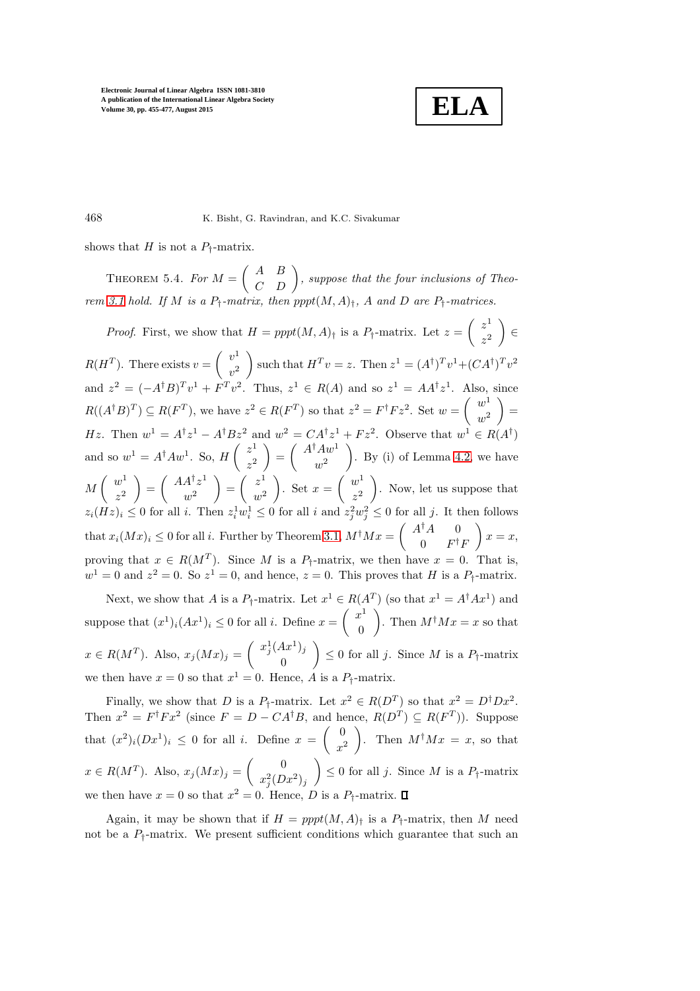

468 K. Bisht, G. Ravindran, and K.C. Sivakumar

<span id="page-13-0"></span>shows that H is not a  $P_{\dagger}$ -matrix.

THEOREM 5.4. For  $M = \begin{pmatrix} A & B \\ C & D \end{pmatrix}$ , suppose that the four inclusions of Theo-rem [3.1](#page-3-0) hold. If M is a  $P_{\dagger}$ -matrix, then  $pppt(M, A)_{\dagger}$ , A and D are  $P_{\dagger}$ -matrices.

*Proof.* First, we show that  $H = pppt(M, A)$ <sub>†</sub> is a  $P$ <sub>†</sub>-matrix. Let  $z = \begin{pmatrix} z^1 \\ z^2 \end{pmatrix}$  $z^2$  ∈  $R(H^T)$ . There exists  $v = \begin{pmatrix} v^1 \\ 0 \end{pmatrix}$  $v^2$ such that  $H^T v = z$ . Then  $z^1 = (A^{\dagger})^T v^1 + (CA^{\dagger})^T v^2$ and  $z^2 = (-A^{\dagger}B)^T v^1 + F^T v^2$ . Thus,  $z^1 \in R(A)$  and so  $z^1 = AA^{\dagger} z^1$ . Also, since  $R((A^{\dagger}B)^{T}) \subseteq R(F^{T}),$  we have  $z^{2} \in R(F^{T})$  so that  $z^{2} = F^{\dagger}Fz^{2}$ . Set  $w = \begin{pmatrix} w^{1} \\ w^{2} \end{pmatrix}$  $w^2$  $=$ Hz. Then  $w^1 = A^{\dagger}z^1 - A^{\dagger}Bz^2$  and  $w^2 = CA^{\dagger}z^1 + Fz^2$ . Observe that  $w^1 \in R(A^{\dagger})$ and so  $w^1 = A^{\dagger} A w^1$ . So,  $H\begin{pmatrix} z^1 \\ z^2 \end{pmatrix}$  $z^2$  $= \begin{pmatrix} A^{\dagger} A w^1 \\ 2 \end{pmatrix}$  $w^2$  $\Big)$ . By (i) of Lemma [4.2,](#page-8-0) we have  $M\left(\begin{array}{c}w^1\\y^1\end{array}\right)$  $z^2$  $= \begin{pmatrix} AA^{\dagger}z^1 \\ 2 \end{pmatrix}$  $w^2$  $=\begin{pmatrix} z^1 \\ z^2 \end{pmatrix}$  $w^2$ ). Set  $x = \begin{pmatrix} w_1^1 \\ w_2^1 \end{pmatrix}$  $z^2$  . Now, let us suppose that  $z_i(Hz)_i \leq 0$  for all i. Then  $z_i^1 w_i^1 \leq 0$  for all i and  $z_j^2 w_j^2 \leq 0$  for all j. It then follows that  $x_i(Mx)_i \leq 0$  for all i. Further by Theorem [3.1,](#page-3-0)  $M^{\dagger}Mx = \begin{pmatrix} A^{\dagger}A & 0 \\ 0 & F^{\dagger}A \end{pmatrix}$  $0 \t F^{\dagger}F$  $\Big\} x = x,$ proving that  $x \in R(M^T)$ . Since M is a  $P_{\dagger}$ -matrix, we then have  $x = 0$ . That is,  $w^1 = 0$  and  $z^2 = 0$ . So  $z^1 = 0$ , and hence,  $z = 0$ . This proves that H is a  $P_{\uparrow}$ -matrix.

Next, we show that A is a  $P_{\dagger}$ -matrix. Let  $x^1 \in R(A^T)$  (so that  $x^1 = A^{\dagger}Ax^1$ ) and suppose that  $(x^1)_i (Ax^1)_i \leq 0$  for all i. Define  $x = \begin{pmatrix} x^1 \\ 0 \end{pmatrix}$ 0 ). Then  $M^{\dagger}Mx = x$  so that  $x \in R(M^T)$ . Also,  $x_j(Mx)_j = \begin{pmatrix} x_j^1(Ax^1)_j \\ 0 \end{pmatrix}$ 0  $\Big) \leq 0$  for all j. Since M is a  $P_{\dagger}$ -matrix we then have  $x = 0$  so that  $x^1 = 0$ . Hence, A is a  $P_{\dagger}$ -matrix.

Finally, we show that D is a  $P_{\dagger}$ -matrix. Let  $x^2 \in R(D^T)$  so that  $x^2 = D^{\dagger}Dx^2$ . Then  $x^2 = F^{\dagger} F x^2$  (since  $F = D - CA^{\dagger} B$ , and hence,  $R(D^T) \subseteq R(F^T)$ ). Suppose that  $(x^2)_i(Dx^1)_i \leq 0$  for all i. Define  $x = \begin{pmatrix} 0 & 0 \\ 0 & 0 \end{pmatrix}$  $x^2$ ). Then  $M^{\dagger}Mx = x$ , so that  $x \in R(M^T)$ . Also,  $x_j(Mx)_j = \begin{pmatrix} 0 \\ -2\sqrt{D} \end{pmatrix}$  $x_j^2(Dx^2)_j$  $\Big) \leq 0$  for all j. Since M is a  $P_{\dagger}$ -matrix we then have  $x = 0$  so that  $x^2 = 0$ . Hence, D is a  $P_{\dagger}$ -matrix.

Again, it may be shown that if  $H = pppt(M, A)<sub>t</sub>$  is a  $P<sub>t</sub>$ -matrix, then M need not be a  $P_1$ -matrix. We present sufficient conditions which guarantee that such an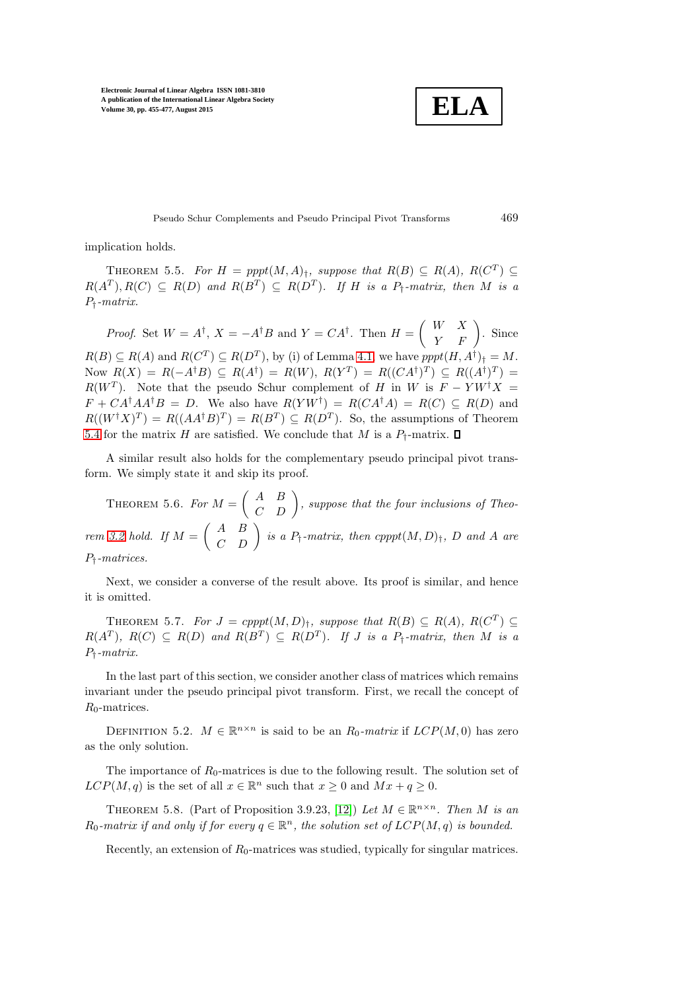**ELA**

Pseudo Schur Complements and Pseudo Principal Pivot Transforms 469

<span id="page-14-0"></span>implication holds.

THEOREM 5.5. For  $H = pppt(M, A)<sub>1</sub>$ , suppose that  $R(B) \subseteq R(A)$ ,  $R(C<sup>T</sup>) \subseteq$  $R(A^T), R(C) \subseteq R(D)$  and  $R(B^T) \subseteq R(D^T)$ . If H is a  $P_{\dagger}$ -matrix, then M is a P†-matrix.

Proof. Set  $W = A^{\dagger}$ ,  $X = -A^{\dagger}B$  and  $Y = CA^{\dagger}$ . Then  $H = \begin{pmatrix} W & X \\ Y & F \end{pmatrix}$ . Since  $R(B) \subseteq R(A)$  and  $R(C^T) \subseteq R(D^T)$ , by (i) of Lemma [4.1,](#page-7-0) we have  $pppt(H, A^{\dagger})_{\dagger} = M$ . Now  $R(X) = R(-A^{\dagger}B) \subseteq R(A^{\dagger}) = R(W), R(Y^T) = R((CA^{\dagger})^T) \subseteq R((A^{\dagger})^T) =$  $R(W^T)$ . Note that the pseudo Schur complement of H in W is  $F - Y W^{\dagger} X =$  $F + CA^{\dagger}AA^{\dagger}B = D$ . We also have  $R(YW^{\dagger}) = R(CA^{\dagger}A) = R(C) \subseteq R(D)$  and  $R((W^{\dagger}X)^{T}) = R((AA^{\dagger}B)^{T}) = R(B^{T}) \subseteq R(D^{T}).$  So, the assumptions of Theorem [5.4](#page-13-0) for the matrix H are satisfied. We conclude that M is a  $P_{\dagger}$ -matrix.  $\square$ 

A similar result also holds for the complementary pseudo principal pivot transform. We simply state it and skip its proof.

THEOREM 5.6. For  $M = \begin{pmatrix} A & B \\ C & D \end{pmatrix}$ , suppose that the four inclusions of Theo-rem [3.2](#page-4-0) hold. If  $M = \begin{pmatrix} A & B \\ C & D \end{pmatrix}$  is a  $P_{\dagger}$ -matrix, then  $cpppt(M, D)_{\dagger}$ , D and A are P†-matrices.

Next, we consider a converse of the result above. Its proof is similar, and hence it is omitted.

THEOREM 5.7. For  $J = \text{cpppt}(M, D)_{\dagger}$ , suppose that  $R(B) \subseteq R(A)$ ,  $R(C^T) \subseteq$  $R(A^T)$ ,  $R(C) \subseteq R(D)$  and  $R(B^T) \subseteq R(D^T)$ . If J is a  $P_{\dagger}$ -matrix, then M is a P†-matrix.

In the last part of this section, we consider another class of matrices which remains invariant under the pseudo principal pivot transform. First, we recall the concept of  $R_0$ -matrices.

DEFINITION 5.2.  $M \in \mathbb{R}^{n \times n}$  is said to be an  $R_0$ -matrix if  $LCP(M, 0)$  has zero as the only solution.

The importance of  $R_0$ -matrices is due to the following result. The solution set of  $LCP(M, q)$  is the set of all  $x \in \mathbb{R}^n$  such that  $x \geq 0$  and  $Mx + q \geq 0$ .

THEOREM 5.8. (Part of Proposition 3.9.23, [\[12\]](#page-21-22)) Let  $M \in \mathbb{R}^{n \times n}$ . Then M is an  $R_0$ -matrix if and only if for every  $q \in \mathbb{R}^n$ , the solution set of  $LCP(M, q)$  is bounded.

Recently, an extension of  $R_0$ -matrices was studied, typically for singular matrices.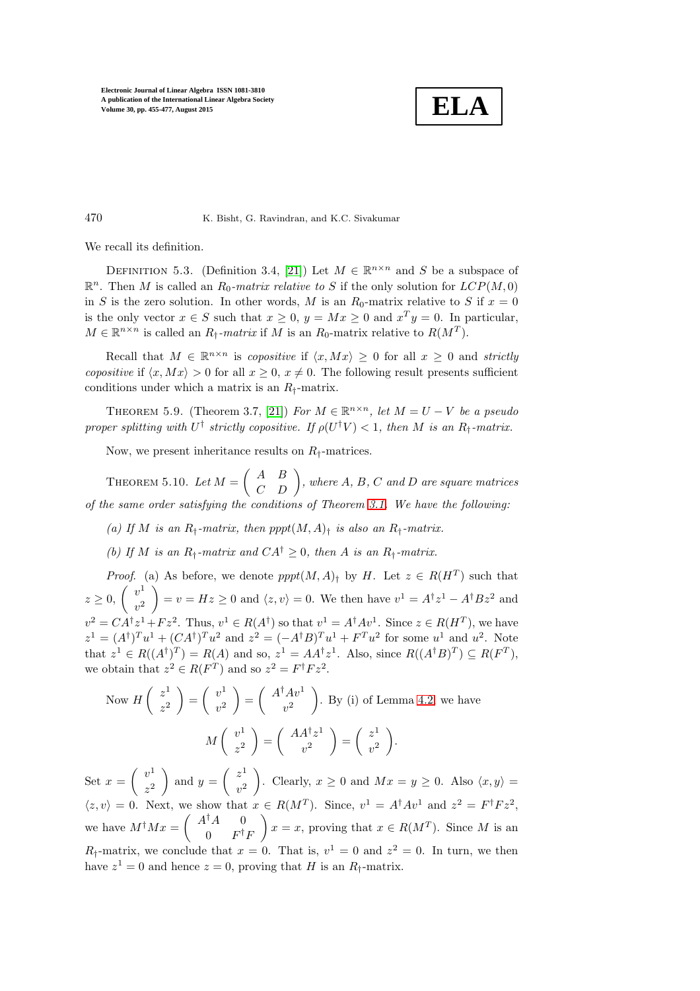

470 K. Bisht, G. Ravindran, and K.C. Sivakumar

We recall its definition.

DEFINITION 5.3. (Definition 3.4, [\[21\]](#page-21-23)) Let  $M \in \mathbb{R}^{n \times n}$  and S be a subspace of  $\mathbb{R}^n$ . Then M is called an  $R_0$ -matrix relative to S if the only solution for  $LCP(M, 0)$ in S is the zero solution. In other words, M is an  $R_0$ -matrix relative to S if  $x = 0$ is the only vector  $x \in S$  such that  $x \geq 0$ ,  $y = Mx \geq 0$  and  $x^T y = 0$ . In particular,  $M \in \mathbb{R}^{n \times n}$  is called an  $R_{\dagger}$ -matrix if M is an  $R_0$ -matrix relative to  $R(M^T)$ .

Recall that  $M \in \mathbb{R}^{n \times n}$  is *copositive* if  $\langle x, Mx \rangle \geq 0$  for all  $x \geq 0$  and *strictly* copositive if  $\langle x, Mx \rangle > 0$  for all  $x \geq 0, x \neq 0$ . The following result presents sufficient conditions under which a matrix is an  $R_+$ -matrix.

THEOREM 5.9. (Theorem 3.7, [\[21\]](#page-21-23)) For  $M \in \mathbb{R}^{n \times n}$ , let  $M = U - V$  be a pseudo proper splitting with  $U^{\dagger}$  strictly copositive. If  $\rho(U^{\dagger}V) < 1$ , then M is an  $R_{\dagger}$ -matrix.

<span id="page-15-0"></span>Now, we present inheritance results on  $R_{\dagger}$ -matrices.

THEOREM 5.10. Let  $M = \begin{pmatrix} A & B \\ C & D \end{pmatrix}$ , where A, B, C and D are square matrices of the same order satisfying the conditions of Theorem [3.1.](#page-3-0) We have the following:

- (a) If M is an  $R_{\dagger}$ -matrix, then pppt $(M, A)_{\dagger}$  is also an  $R_{\dagger}$ -matrix.
- (b) If M is an  $R_t$ -matrix and  $CA^{\dagger} > 0$ , then A is an  $R_t$ -matrix.

*Proof.* (a) As before, we denote  $pppt(M, A)$ <sup>†</sup> by H. Let  $z \in R(H^T)$  such that  $z \geq 0, \begin{pmatrix} v^1 \\ 0 \end{pmatrix}$  $v^2$  $= v = Hz \geq 0$  and  $\langle z, v \rangle = 0$ . We then have  $v^1 = A^{\dagger} z^1 - A^{\dagger} B z^2$  and  $v^2 = CA^{\dagger}z^1 + Fz^2$ . Thus,  $v^1 \in R(A^{\dagger})$  so that  $v^1 = A^{\dagger}Av^1$ . Since  $z \in R(H^T)$ , we have  $z^1 = (A^{\dagger})^T u^1 + (CA^{\dagger})^T u^2$  and  $z^2 = (-A^{\dagger}B)^T u^1 + F^T u^2$  for some  $u^1$  and  $u^2$ . Note that  $z^1 \in R((A^{\dagger})^T) = R(A)$  and so,  $z^1 = AA^{\dagger}z^1$ . Also, since  $R((A^{\dagger}B)^T) \subseteq R(F^T)$ , we obtain that  $z^2 \in R(F^T)$  and so  $z^2 = F^{\dagger} F z^2$ .

Now  $H\left(\begin{array}{c}z^1\\z^2\end{array}\right)$  $z^2$  $\bigg) = \bigg( \begin{array}{c} v^1 \\ v^2 \end{array} \bigg)$  $v^2$  $= \int A^{\dagger} A v^1$  $v^2$  $\Big)$ . By (i) of Lemma [4.2,](#page-8-0) we have  $M\left(\begin{array}{c}v^1\\v^2\end{array}\right)$  $z^2$  $= \begin{pmatrix} AA^{\dagger}z^1 \\ 2 \end{pmatrix}$  $v^2$  $=\begin{pmatrix} z^1 \\ z^2 \end{pmatrix}$  $v^2$ .

Set  $x = \begin{pmatrix} v^1 \\ v^2 \end{pmatrix}$  $z^2$ ) and  $y = \begin{pmatrix} z^1 \\ z^2 \end{pmatrix}$  $v^2$ ). Clearly,  $x \geq 0$  and  $Mx = y \geq 0$ . Also  $\langle x, y \rangle =$  $\langle z, v \rangle = 0$ . Next, we show that  $x \in R(M^T)$ . Since,  $v^1 = A^{\dagger}Av^1$  and  $z^2 = F^{\dagger}Fz^2$ , we have  $M^{\dagger}Mx = \begin{pmatrix} A^{\dagger}A & 0 \\ 0 & B^{\dagger}A \end{pmatrix}$  $0 \t F^{\dagger}F$  $x = x$ , proving that  $x \in R(M^T)$ . Since M is an  $R_{\dagger}$ -matrix, we conclude that  $x = 0$ . That is,  $v^1 = 0$  and  $z^2 = 0$ . In turn, we then have  $z^1 = 0$  and hence  $z = 0$ , proving that H is an  $R_\dagger$ -matrix.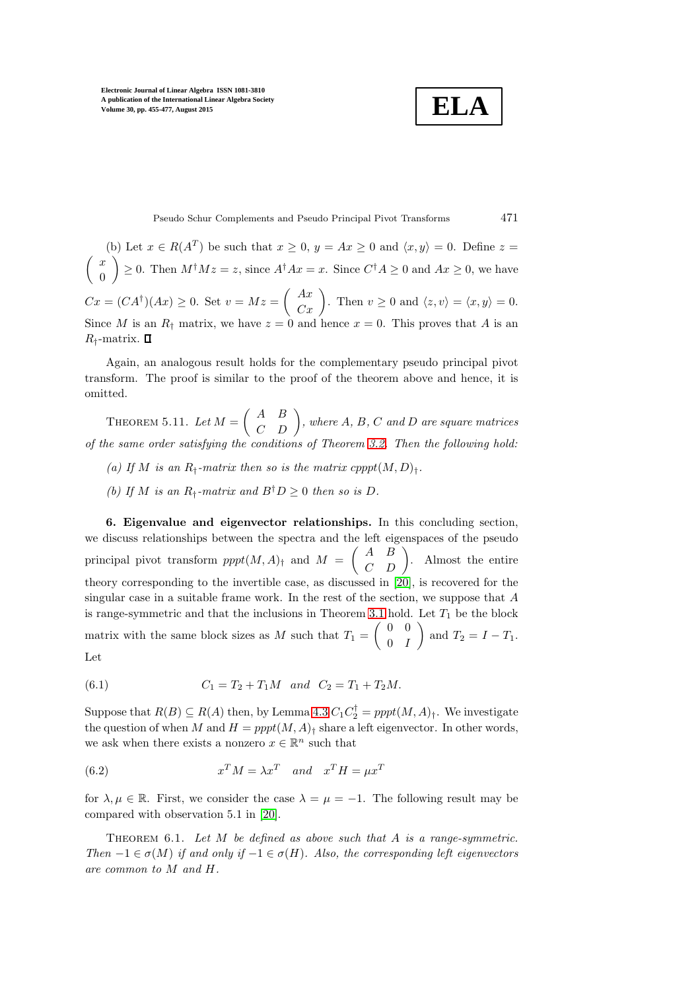$$
\boxed{\textbf{ELA}}
$$

Pseudo Schur Complements and Pseudo Principal Pivot Transforms 471

(b) Let  $x \in R(A^T)$  be such that  $x \geq 0$ ,  $y = Ax \geq 0$  and  $\langle x, y \rangle = 0$ . Define  $z =$  $\int x$  $\theta$  $\Big) \geq 0$ . Then  $M^{\dagger} M z = z$ , since  $A^{\dagger} A x = x$ . Since  $C^{\dagger} A \geq 0$  and  $Ax \geq 0$ , we have  $Cx = (CA^{\dagger})(Ax) \ge 0.$  Set  $v = Mz = \begin{pmatrix} Ax \\ Cx \end{pmatrix}$ . Then  $v \ge 0$  and  $\langle z, v \rangle = \langle x, y \rangle = 0.$ Since M is an  $R_+$  matrix, we have  $z = 0$  and hence  $x = 0$ . This proves that A is an  $R_{\dagger}$ -matrix.  $\Box$ 

Again, an analogous result holds for the complementary pseudo principal pivot transform. The proof is similar to the proof of the theorem above and hence, it is omitted.

THEOREM 5.11. Let  $M = \begin{pmatrix} A & B \\ C & D \end{pmatrix}$ , where A, B, C and D are square matrices of the same order satisfying the conditions of Theorem [3.2.](#page-4-0) Then the following hold:

- (a) If M is an  $R_t$ -matrix then so is the matrix cpppt $(M, D)_t$ .
- (b) If M is an  $R_t$ -matrix and  $B^{\dagger}D > 0$  then so is D.

6. Eigenvalue and eigenvector relationships. In this concluding section, we discuss relationships between the spectra and the left eigenspaces of the pseudo principal pivot transform  $pppt(M, A)$ <sub>†</sub> and  $M = \begin{pmatrix} A & B \\ C & D \end{pmatrix}$ . Almost the entire theory corresponding to the invertible case, as discussed in [\[20\]](#page-21-5), is recovered for the singular case in a suitable frame work. In the rest of the section, we suppose that A is range-symmetric and that the inclusions in Theorem [3.1](#page-3-0) hold. Let  $T_1$  be the block matrix with the same block sizes as M such that  $T_1 = \begin{pmatrix} 0 & 0 \\ 0 & I \end{pmatrix}$  $0 \quad I$ and  $T_2 = I - T_1$ . Let

$$
\mathbf{L}^{\mathbf{C}\, \mathbf{U}}
$$

(6.1) 
$$
C_1 = T_2 + T_1 M \text{ and } C_2 = T_1 + T_2 M.
$$

Suppose that  $R(B) \subseteq R(A)$  then, by Lemma [4.3](#page-9-0)  $C_1 C_2^{\dagger} = pppt(M, A)_{\dagger}$ . We investigate the question of when M and  $H = pppt(M, A)$ <sub>t</sub> share a left eigenvector. In other words, we ask when there exists a nonzero  $x \in \mathbb{R}^n$  such that

(6.2) 
$$
x^T M = \lambda x^T \quad and \quad x^T H = \mu x^T
$$

for  $\lambda, \mu \in \mathbb{R}$ . First, we consider the case  $\lambda = \mu = -1$ . The following result may be compared with observation 5.1 in [\[20\]](#page-21-5).

THEOREM 6.1. Let  $M$  be defined as above such that  $A$  is a range-symmetric. Then  $-1 \in \sigma(M)$  if and only if  $-1 \in \sigma(H)$ . Also, the corresponding left eigenvectors are common to M and H.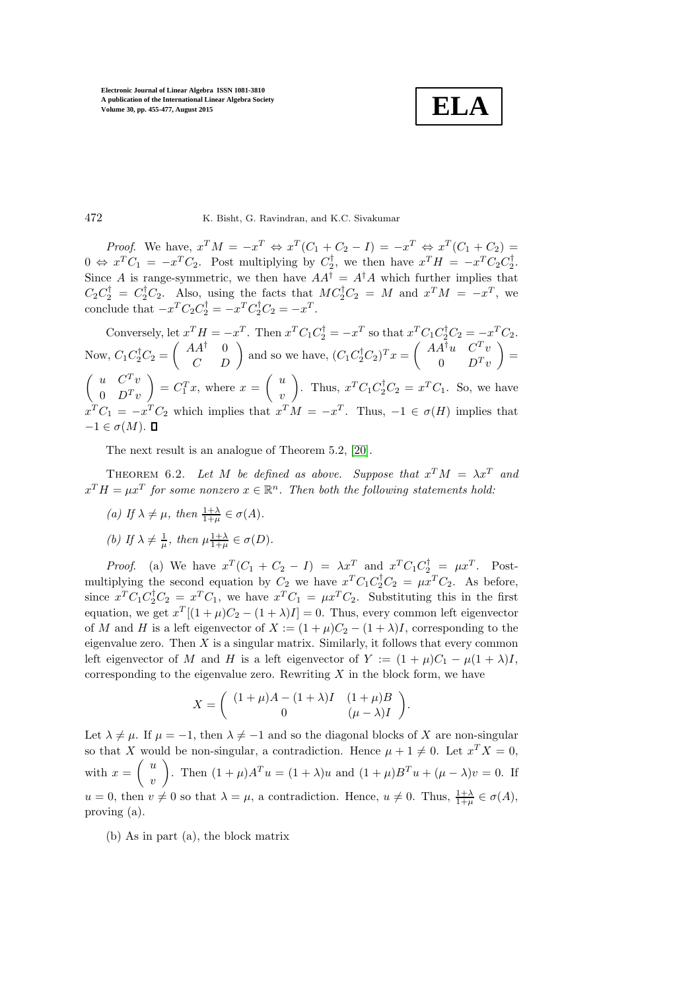**ELA**

## 472 K. Bisht, G. Ravindran, and K.C. Sivakumar

*Proof.* We have,  $x^T M = -x^T \Leftrightarrow x^T (C_1 + C_2 - I) = -x^T \Leftrightarrow x^T (C_1 + C_2) =$  $0 \Leftrightarrow x^T C_1 = -x^T C_2$ . Post multiplying by  $C_2^{\dagger}$ , we then have  $x^T H = -x^T C_2 C_2^{\dagger}$ . Since A is range-symmetric, we then have  $AA^{\dagger} = A^{\dagger}A$  which further implies that  $C_2 C_2^{\dagger} = C_2^{\dagger} C_2$ . Also, using the facts that  $MC_2^{\dagger} C_2 = M$  and  $x^T M = -x^T$ , we conclude that  $-x^T C_2 C_2^{\dagger} = -x^T C_2^{\dagger} C_2 = -x^T$ .

Conversely, let  $x^T H = -x^T$ . Then  $x^T C_1 C_2^{\dagger} = -x^T$  so that  $x^T C_1 C_2^{\dagger} C_2 = -x^T C_2$ . Now,  $C_1 C_2^{\dagger} C_2 = \begin{pmatrix} AA^{\dagger} & 0 \\ C & D \end{pmatrix}$  and so we have,  $(C_1 C_2^{\dagger} C_2)^T x = \begin{pmatrix} AA^{\dagger} u & C^T v \\ 0 & D^T v \end{pmatrix}$  $0$   $D^T v$  $=$  $\begin{pmatrix} u & C^T v \end{pmatrix}$  $0 \quad D^T v$  $\Bigg) = C_1^T x$ , where  $x = \begin{pmatrix} u \\ v \end{pmatrix}$  $\overline{v}$ ). Thus,  $x^TC_1C_2^{\dagger}C_2 = x^TC_1$ . So, we have  $x^TC_1 = -x^TC_2$  which implies that  $x^TM = -x^T$ . Thus,  $-1 \in \sigma(H)$  implies that  $-1 \in \sigma(M)$ .  $\Box$ 

<span id="page-17-0"></span>The next result is an analogue of Theorem 5.2, [\[20\]](#page-21-5).

THEOREM 6.2. Let M be defined as above. Suppose that  $x^T M = \lambda x^T$  and  $x^T H = \mu x^T$  for some nonzero  $x \in \mathbb{R}^n$ . Then both the following statements hold:

(a) If  $\lambda \neq \mu$ , then  $\frac{1+\lambda}{1+\mu} \in \sigma(A)$ .

(b) If  $\lambda \neq \frac{1}{\mu}$ , then  $\mu \frac{1+\lambda}{1+\mu} \in \sigma(D)$ .

*Proof.* (a) We have  $x^T(C_1 + C_2 - I) = \lambda x^T$  and  $x^T C_1 C_2^{\dagger} = \mu x^T$ . Postmultiplying the second equation by  $C_2$  we have  $x^T C_1 C_2^{\dagger} C_2 = \mu x^T C_2$ . As before, since  $x^T C_1 C_2^{\dagger} C_2 = x^T C_1$ , we have  $x^T C_1 = \mu x^T C_2$ . Substituting this in the first equation, we get  $x^T[(1+\mu)C_2 - (1+\lambda)I] = 0$ . Thus, every common left eigenvector of M and H is a left eigenvector of  $X := (1 + \mu)C_2 - (1 + \lambda)I$ , corresponding to the eigenvalue zero. Then  $X$  is a singular matrix. Similarly, it follows that every common left eigenvector of M and H is a left eigenvector of Y :=  $(1 + \mu)C_1 - \mu(1 + \lambda)I$ , corresponding to the eigenvalue zero. Rewriting  $X$  in the block form, we have

$$
X = \begin{pmatrix} (1+\mu)A - (1+\lambda)I & (1+\mu)B \\ 0 & (\mu-\lambda)I \end{pmatrix}.
$$

Let  $\lambda \neq \mu$ . If  $\mu = -1$ , then  $\lambda \neq -1$  and so the diagonal blocks of X are non-singular so that X would be non-singular, a contradiction. Hence  $\mu + 1 \neq 0$ . Let  $x^T X = 0$ , with  $x = \begin{pmatrix} u \\ v \end{pmatrix}$  $\overline{v}$ ). Then  $(1 + \mu)A^T u = (1 + \lambda)u$  and  $(1 + \mu)B^T u + (\mu - \lambda)v = 0$ . If  $u = 0$ , then  $v \neq 0$  so that  $\lambda = \mu$ , a contradiction. Hence,  $u \neq 0$ . Thus,  $\frac{1+\lambda}{1+\mu} \in \sigma(A)$ , proving (a).

(b) As in part (a), the block matrix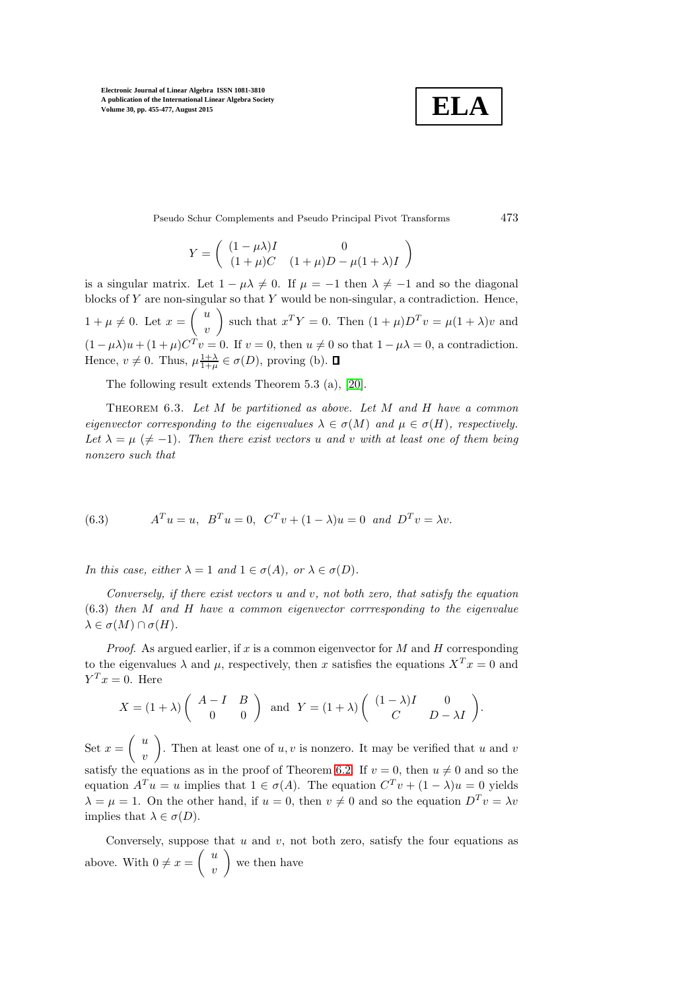$$
\boxed{\textbf{ELA}}
$$

Pseudo Schur Complements and Pseudo Principal Pivot Transforms 473

$$
Y=\left(\begin{array}{cc} (1-\mu\lambda)I & 0\\ (1+\mu)C & (1+\mu)D-\mu(1+\lambda)I \end{array}\right)
$$

is a singular matrix. Let  $1 - \mu\lambda \neq 0$ . If  $\mu = -1$  then  $\lambda \neq -1$  and so the diagonal blocks of  $Y$  are non-singular so that  $Y$  would be non-singular, a contradiction. Hence,  $1 + \mu \neq 0$ . Let  $x = \begin{pmatrix} u \\ v \end{pmatrix}$  $\overline{v}$ such that  $x^T Y = 0$ . Then  $(1 + \mu)D^T v = \mu(1 + \lambda)v$  and  $(1 - \mu \lambda)u + (1 + \mu)C^{T}v = 0$ . If  $v = 0$ , then  $u \neq 0$  so that  $1 - \mu \lambda = 0$ , a contradiction. Hence,  $v \neq 0$ . Thus,  $\mu \frac{1+\lambda}{1+\mu} \in \sigma(D)$ , proving (b).

<span id="page-18-0"></span>The following result extends Theorem 5.3 (a), [\[20\]](#page-21-5).

Theorem 6.3. Let M be partitioned as above. Let M and H have a common eigenvector corresponding to the eigenvalues  $\lambda \in \sigma(M)$  and  $\mu \in \sigma(H)$ , respectively. Let  $\lambda = \mu \ (\neq -1)$ . Then there exist vectors u and v with at least one of them being nonzero such that

(6.3) 
$$
A^T u = u, \ B^T u = 0, \ C^T v + (1 - \lambda) u = 0 \ and \ D^T v = \lambda v.
$$

In this case, either  $\lambda = 1$  and  $1 \in \sigma(A)$ , or  $\lambda \in \sigma(D)$ .

Conversely, if there exist vectors u and v, not both zero, that satisfy the equation (6.3) then M and H have a common eigenvector corrresponding to the eigenvalue  $\lambda \in \sigma(M) \cap \sigma(H)$ .

*Proof.* As argued earlier, if x is a common eigenvector for  $M$  and  $H$  corresponding to the eigenvalues  $\lambda$  and  $\mu$ , respectively, then x satisfies the equations  $X^T x = 0$  and  $Y^T x = 0$ . Here

$$
X = (1 + \lambda) \begin{pmatrix} A - I & B \\ 0 & 0 \end{pmatrix} \text{ and } Y = (1 + \lambda) \begin{pmatrix} (1 - \lambda)I & 0 \\ C & D - \lambda I \end{pmatrix}.
$$

Set  $x = \begin{pmatrix} u \\ v \end{pmatrix}$  $\overline{v}$ ). Then at least one of  $u, v$  is nonzero. It may be verified that u and v satisfy the equations as in the proof of Theorem [6.2.](#page-17-0) If  $v = 0$ , then  $u \neq 0$  and so the equation  $A^T u = u$  implies that  $1 \in \sigma(A)$ . The equation  $C^T v + (1 - \lambda)u = 0$  yields  $\lambda = \mu = 1$ . On the other hand, if  $u = 0$ , then  $v \neq 0$  and so the equation  $D^{T}v = \lambda v$ implies that  $\lambda \in \sigma(D)$ .

Conversely, suppose that  $u$  and  $v$ , not both zero, satisfy the four equations as above. With  $0 \neq x = \begin{pmatrix} u \\ v \end{pmatrix}$  $\overline{v}$ we then have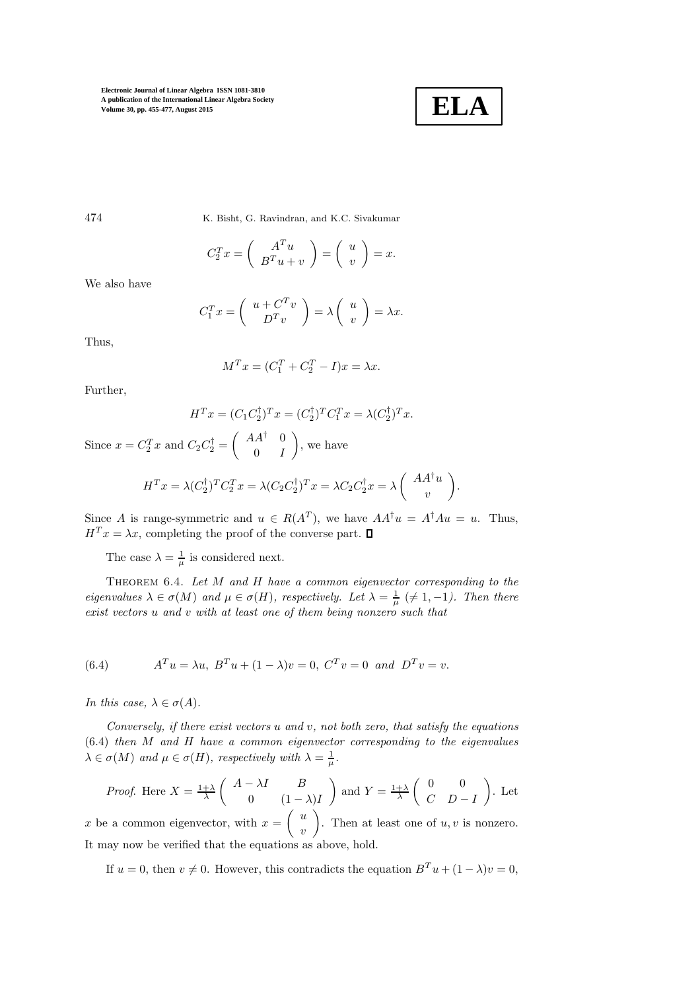

474 K. Bisht, G. Ravindran, and K.C. Sivakumar

$$
C_2^T x = \left(\begin{array}{c} A^T u \\ B^T u + v \end{array}\right) = \left(\begin{array}{c} u \\ v \end{array}\right) = x.
$$

We also have

$$
C_1^T x = \left(\begin{array}{c} u + C^T v \\ D^T v \end{array}\right) = \lambda \left(\begin{array}{c} u \\ v \end{array}\right) = \lambda x.
$$

Thus,

$$
M^T x = (C_1^T + C_2^T - I)x = \lambda x.
$$

Further,

$$
HT x = (C1 C2\dagger)T x = (C2\dagger)T C1T x = \lambda (C2\dagger)T x.
$$

Since  $x = C_2^T x$  and  $C_2 C_2^{\dagger} = \begin{pmatrix} AA^{\dagger} & 0 \\ 0 & B \end{pmatrix}$  $0 \quad I$ , we have

$$
H^T x = \lambda (C_2^{\dagger})^T C_2^T x = \lambda (C_2 C_2^{\dagger})^T x = \lambda C_2 C_2^{\dagger} x = \lambda \begin{pmatrix} A A^{\dagger} u \\ v \end{pmatrix}.
$$

Since A is range-symmetric and  $u \in R(A^T)$ , we have  $AA^{\dagger}u = A^{\dagger}Au = u$ . Thus,  $H<sup>T</sup> x = \lambda x$ , completing the proof of the converse part.  $\Box$ 

The case  $\lambda = \frac{1}{\mu}$  is considered next.

<span id="page-19-0"></span>THEOREM  $6.4$ . Let  $M$  and  $H$  have a common eigenvector corresponding to the eigenvalues  $\lambda \in \sigma(M)$  and  $\mu \in \sigma(H)$ , respectively. Let  $\lambda = \frac{1}{\mu} \ (\neq 1, -1)$ . Then there exist vectors u and v with at least one of them being nonzero such that

(6.4) 
$$
A^T u = \lambda u, B^T u + (1 - \lambda)v = 0, C^T v = 0 \text{ and } D^T v = v.
$$

In this case,  $\lambda \in \sigma(A)$ .

Conversely, if there exist vectors  $u$  and  $v$ , not both zero, that satisfy the equations (6.4) then M and H have a common eigenvector corresponding to the eigenvalues  $\lambda \in \sigma(M)$  and  $\mu \in \sigma(H)$ , respectively with  $\lambda = \frac{1}{\mu}$ .

*Proof.* Here 
$$
X = \frac{1+\lambda}{\lambda} \begin{pmatrix} A - \lambda I & B \\ 0 & (1-\lambda)I \end{pmatrix}
$$
 and  $Y = \frac{1+\lambda}{\lambda} \begin{pmatrix} 0 & 0 \\ C & D-I \end{pmatrix}$ . Let  $x$  be a common eigenvector, with  $x = \begin{pmatrix} u \\ v \end{pmatrix}$ . Then at least one of  $u, v$  is nonzero.

 $\overline{v}$ It may now be verified that the equations as above, hold.

If  $u = 0$ , then  $v \neq 0$ . However, this contradicts the equation  $B<sup>T</sup> u + (1 - \lambda)v = 0$ ,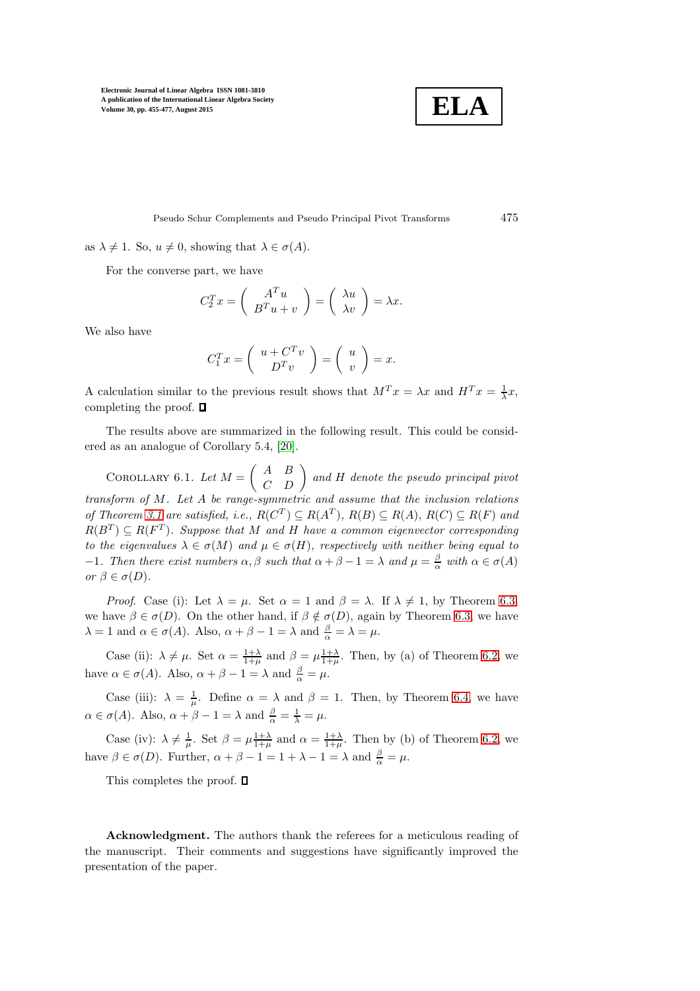$$
\boxed{\textbf{ELA}}
$$

Pseudo Schur Complements and Pseudo Principal Pivot Transforms 475

as  $\lambda \neq 1$ . So,  $u \neq 0$ , showing that  $\lambda \in \sigma(A)$ .

For the converse part, we have

$$
C_2^T x = \begin{pmatrix} A^T u \\ B^T u + v \end{pmatrix} = \begin{pmatrix} \lambda u \\ \lambda v \end{pmatrix} = \lambda x.
$$

We also have

$$
C_1^T x = \left(\begin{array}{c} u + C^T v \\ D^T v \end{array}\right) = \left(\begin{array}{c} u \\ v \end{array}\right) = x.
$$

A calculation similar to the previous result shows that  $M^T x = \lambda x$  and  $H^T x = \frac{1}{\lambda} x$ , completing the proof.  $\square$ 

<span id="page-20-0"></span>The results above are summarized in the following result. This could be considered as an analogue of Corollary 5.4, [\[20\]](#page-21-5).

COROLLARY 6.1. Let  $M = \begin{pmatrix} A & B \\ C & D \end{pmatrix}$  and H denote the pseudo principal pivot transform of M. Let A be range-symmetric and assume that the inclusion relations of Theorem [3.1](#page-3-0) are satisfied, i.e.,  $R(C^T) \subseteq R(A^T)$ ,  $R(B) \subseteq R(A)$ ,  $R(C) \subseteq R(F)$  and  $R(B^T) \subseteq R(F^T)$ . Suppose that M and H have a common eigenvector corresponding to the eigenvalues  $\lambda \in \sigma(M)$  and  $\mu \in \sigma(H)$ , respectively with neither being equal to  $-1$ . Then there exist numbers α, β such that α + β − 1 = λ and  $\mu = \frac{\beta}{\alpha}$  with α ∈ σ(A) or  $\beta \in \sigma(D)$ .

*Proof.* Case (i): Let  $\lambda = \mu$ . Set  $\alpha = 1$  and  $\beta = \lambda$ . If  $\lambda \neq 1$ , by Theorem [6.3,](#page-18-0) we have  $\beta \in \sigma(D)$ . On the other hand, if  $\beta \notin \sigma(D)$ , again by Theorem [6.3,](#page-18-0) we have  $\lambda = 1$  and  $\alpha \in \sigma(A)$ . Also,  $\alpha + \beta - 1 = \lambda$  and  $\frac{\beta}{\alpha} = \lambda = \mu$ .

Case (ii):  $\lambda \neq \mu$ . Set  $\alpha = \frac{1+\lambda}{1+\mu}$  and  $\beta = \mu \frac{1+\lambda}{1+\mu}$ . Then, by (a) of Theorem [6.2,](#page-17-0) we have  $\alpha \in \sigma(A)$ . Also,  $\alpha + \beta - 1 = \lambda$  and  $\frac{\beta}{\alpha} = \mu$ .

Case (iii):  $\lambda = \frac{1}{\mu}$ . Define  $\alpha = \lambda$  and  $\beta = 1$ . Then, by Theorem [6.4,](#page-19-0) we have  $\alpha \in \sigma(A)$ . Also,  $\alpha + \beta - 1 = \lambda$  and  $\frac{\beta}{\alpha} = \frac{1}{\lambda} = \mu$ .

Case (iv):  $\lambda \neq \frac{1}{\mu}$ . Set  $\beta = \mu \frac{1+\lambda}{1+\mu}$  and  $\alpha = \frac{1+\lambda}{1+\mu}$ . Then by (b) of Theorem [6.2,](#page-17-0) we have  $\beta \in \sigma(D)$ . Further,  $\alpha + \beta - 1 = 1 + \lambda - 1 = \lambda$  and  $\frac{\beta}{\alpha} = \mu$ .

This completes the proof.  $\square$ 

Acknowledgment. The authors thank the referees for a meticulous reading of the manuscript. Their comments and suggestions have significantly improved the presentation of the paper.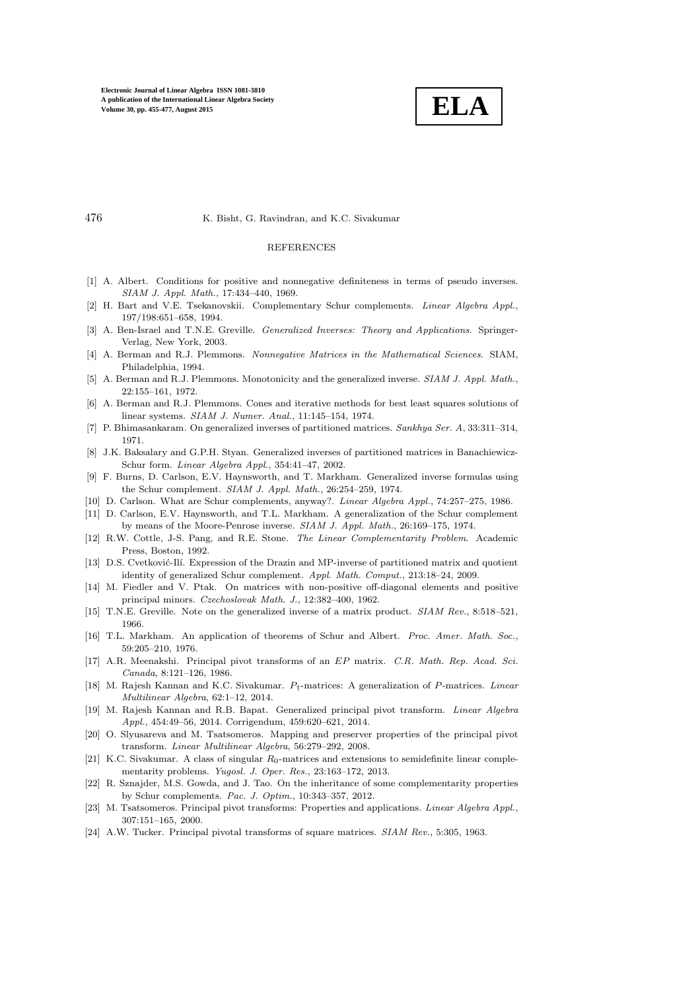

### 476 K. Bisht, G. Ravindran, and K.C. Sivakumar

#### REFERENCES

- <span id="page-21-17"></span><span id="page-21-0"></span>[1] A. Albert. Conditions for positive and nonnegative definiteness in terms of pseudo inverses. *SIAM J. Appl. Math.*, 17:434–440, 1969.
- [2] H. Bart and V.E. Tsekanovskii. Complementary Schur complements. *Linear Algebra Appl.*, 197/198:651–658, 1994.
- <span id="page-21-9"></span>[3] A. Ben-Israel and T.N.E. Greville. *Generalized Inverses: Theory and Applications*. Springer-Verlag, New York, 2003.
- <span id="page-21-11"></span>[4] A. Berman and R.J. Plemmons. *Nonnegative Matrices in the Mathematical Sciences*. SIAM, Philadelphia, 1994.
- <span id="page-21-12"></span>[5] A. Berman and R.J. Plemmons. Monotonicity and the generalized inverse. *SIAM J. Appl. Math.*, 22:155–161, 1972.
- <span id="page-21-14"></span><span id="page-21-10"></span>[6] A. Berman and R.J. Plemmons. Cones and iterative methods for best least squares solutions of linear systems. *SIAM J. Numer. Anal.*, 11:145–154, 1974.
- <span id="page-21-16"></span>[7] P. Bhimasankaram. On generalized inverses of partitioned matrices. *Sankhya Ser. A*, 33:311–314, 1971.
- [8] J.K. Baksalary and G.P.H. Styan. Generalized inverses of partitioned matrices in Banachiewicz-Schur form. *Linear Algebra Appl.*, 354:41–47, 2002.
- <span id="page-21-15"></span>[9] F. Burns, D. Carlson, E.V. Haynsworth, and T. Markham. Generalized inverse formulas using the Schur complement. *SIAM J. Appl. Math.*, 26:254–259, 1974.
- <span id="page-21-2"></span><span id="page-21-1"></span>[10] D. Carlson. What are Schur complements, anyway?. *Linear Algebra Appl.*, 74:257–275, 1986.
- [11] D. Carlson, E.V. Haynsworth, and T.L. Markham. A generalization of the Schur complement by means of the Moore-Penrose inverse. *SIAM J. Appl. Math.*, 26:169–175, 1974.
- <span id="page-21-22"></span>[12] R.W. Cottle, J-S. Pang, and R.E. Stone. *The Linear Complementarity Problem*. Academic Press, Boston, 1992.
- <span id="page-21-18"></span>[13] D.S. Cvetković-Ilí. Expression of the Drazin and MP-inverse of partitioned matrix and quotient identity of generalized Schur complement. *Appl. Math. Comput.*, 213:18–24, 2009.
- <span id="page-21-21"></span>[14] M. Fiedler and V. Ptak. On matrices with non-positive off-diagonal elements and positive principal minors. *Czechoslovak Math. J.*, 12:382–400, 1962.
- <span id="page-21-19"></span><span id="page-21-13"></span>[15] T.N.E. Greville. Note on the generalized inverse of a matrix product. *SIAM Rev.*, 8:518–521, 1966.
- [16] T.L. Markham. An application of theorems of Schur and Albert. *Proc. Amer. Math. Soc.*, 59:205–210, 1976.
- <span id="page-21-7"></span>[17] A.R. Meenakshi. Principal pivot transforms of an EP matrix. *C.R. Math. Rep. Acad. Sci. Canada*, 8:121–126, 1986.
- <span id="page-21-20"></span>[18] M. Rajesh Kannan and K.C. Sivakumar. P†-matrices: A generalization of P-matrices. *Linear Multilinear Algebra*, 62:1–12, 2014.
- <span id="page-21-8"></span>[19] M. Rajesh Kannan and R.B. Bapat. Generalized principal pivot transform. *Linear Algebra Appl.*, 454:49–56, 2014. Corrigendum, 459:620–621, 2014.
- <span id="page-21-5"></span>[20] O. Slyusareva and M. Tsatsomeros. Mapping and preserver properties of the principal pivot transform. *Linear Multilinear Algebra*, 56:279–292, 2008.
- <span id="page-21-23"></span>[21] K.C. Sivakumar. A class of singular  $R_0$ -matrices and extensions to semidefinite linear complementarity problems. *Yugosl. J. Oper. Res.*, 23:163–172, 2013.
- <span id="page-21-6"></span>[22] R. Sznajder, M.S. Gowda, and J. Tao. On the inheritance of some complementarity properties by Schur complements. *Pac. J. Optim.*, 10:343–357, 2012.
- <span id="page-21-4"></span>[23] M. Tsatsomeros. Principal pivot transforms: Properties and applications. *Linear Algebra Appl.*, 307:151–165, 2000.
- <span id="page-21-3"></span>[24] A.W. Tucker. Principal pivotal transforms of square matrices. *SIAM Rev.*, 5:305, 1963.